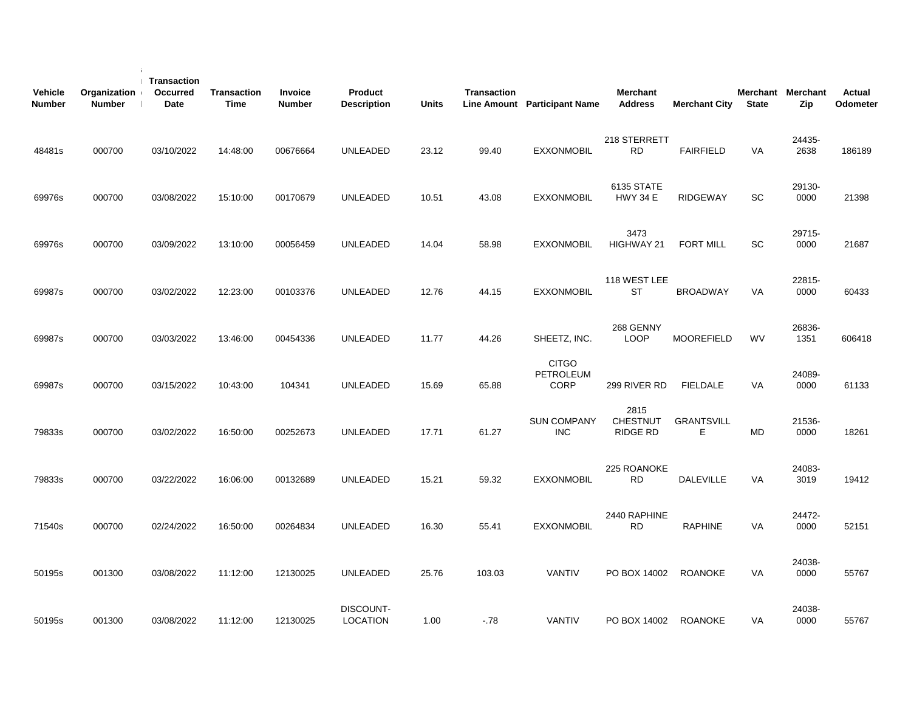| <b>Vehicle</b><br><b>Number</b> | Organization<br><b>Number</b> | Transaction<br>Occurred<br>Date | <b>Transaction</b><br><b>Time</b> | Invoice<br><b>Number</b> | Product<br><b>Description</b> | <b>Units</b> | <b>Transaction</b> | Line Amount Participant Name             | <b>Merchant</b><br><b>Address</b>          | <b>Merchant City</b>    | <b>State</b> | Merchant Merchant<br>Zip | Actual<br>Odometer |
|---------------------------------|-------------------------------|---------------------------------|-----------------------------------|--------------------------|-------------------------------|--------------|--------------------|------------------------------------------|--------------------------------------------|-------------------------|--------------|--------------------------|--------------------|
| 48481s                          | 000700                        | 03/10/2022                      | 14:48:00                          | 00676664                 | <b>UNLEADED</b>               | 23.12        | 99.40              | <b>EXXONMOBIL</b>                        | 218 STERRETT<br><b>RD</b>                  | <b>FAIRFIELD</b>        | VA           | 24435-<br>2638           | 186189             |
| 69976s                          | 000700                        | 03/08/2022                      | 15:10:00                          | 00170679                 | <b>UNLEADED</b>               | 10.51        | 43.08              | <b>EXXONMOBIL</b>                        | 6135 STATE<br><b>HWY 34 E</b>              | <b>RIDGEWAY</b>         | SC           | 29130-<br>0000           | 21398              |
| 69976s                          | 000700                        | 03/09/2022                      | 13:10:00                          | 00056459                 | <b>UNLEADED</b>               | 14.04        | 58.98              | <b>EXXONMOBIL</b>                        | 3473<br>HIGHWAY 21                         | <b>FORT MILL</b>        | <b>SC</b>    | 29715-<br>0000           | 21687              |
| 69987s                          | 000700                        | 03/02/2022                      | 12:23:00                          | 00103376                 | <b>UNLEADED</b>               | 12.76        | 44.15              | <b>EXXONMOBIL</b>                        | 118 WEST LEE<br><b>ST</b>                  | <b>BROADWAY</b>         | VA           | 22815-<br>0000           | 60433              |
| 69987s                          | 000700                        | 03/03/2022                      | 13:46:00                          | 00454336                 | <b>UNLEADED</b>               | 11.77        | 44.26              | SHEETZ, INC.                             | 268 GENNY<br><b>LOOP</b>                   | <b>MOOREFIELD</b>       | <b>WV</b>    | 26836-<br>1351           | 606418             |
| 69987s                          | 000700                        | 03/15/2022                      | 10:43:00                          | 104341                   | <b>UNLEADED</b>               | 15.69        | 65.88              | <b>CITGO</b><br>PETROLEUM<br><b>CORP</b> | 299 RIVER RD                               | <b>FIELDALE</b>         | <b>VA</b>    | 24089-<br>0000           | 61133              |
| 79833s                          | 000700                        | 03/02/2022                      | 16:50:00                          | 00252673                 | <b>UNLEADED</b>               | 17.71        | 61.27              | <b>SUN COMPANY</b><br><b>INC</b>         | 2815<br><b>CHESTNUT</b><br><b>RIDGE RD</b> | <b>GRANTSVILL</b><br>E. | <b>MD</b>    | 21536-<br>0000           | 18261              |
| 79833s                          | 000700                        | 03/22/2022                      | 16:06:00                          | 00132689                 | <b>UNLEADED</b>               | 15.21        | 59.32              | <b>EXXONMOBIL</b>                        | 225 ROANOKE<br><b>RD</b>                   | <b>DALEVILLE</b>        | VA           | 24083-<br>3019           | 19412              |
| 71540s                          | 000700                        | 02/24/2022                      | 16:50:00                          | 00264834                 | <b>UNLEADED</b>               | 16.30        | 55.41              | <b>EXXONMOBIL</b>                        | 2440 RAPHINE<br><b>RD</b>                  | <b>RAPHINE</b>          | <b>VA</b>    | 24472-<br>0000           | 52151              |
| 50195s                          | 001300                        | 03/08/2022                      | 11:12:00                          | 12130025                 | <b>UNLEADED</b>               | 25.76        | 103.03             | <b>VANTIV</b>                            | PO BOX 14002                               | <b>ROANOKE</b>          | VA           | 24038-<br>0000           | 55767              |
| 50195s                          | 001300                        | 03/08/2022                      | 11:12:00                          | 12130025                 | DISCOUNT-<br><b>LOCATION</b>  | 1.00         | $-78$              | <b>VANTIV</b>                            | PO BOX 14002                               | <b>ROANOKE</b>          | VA           | 24038-<br>0000           | 55767              |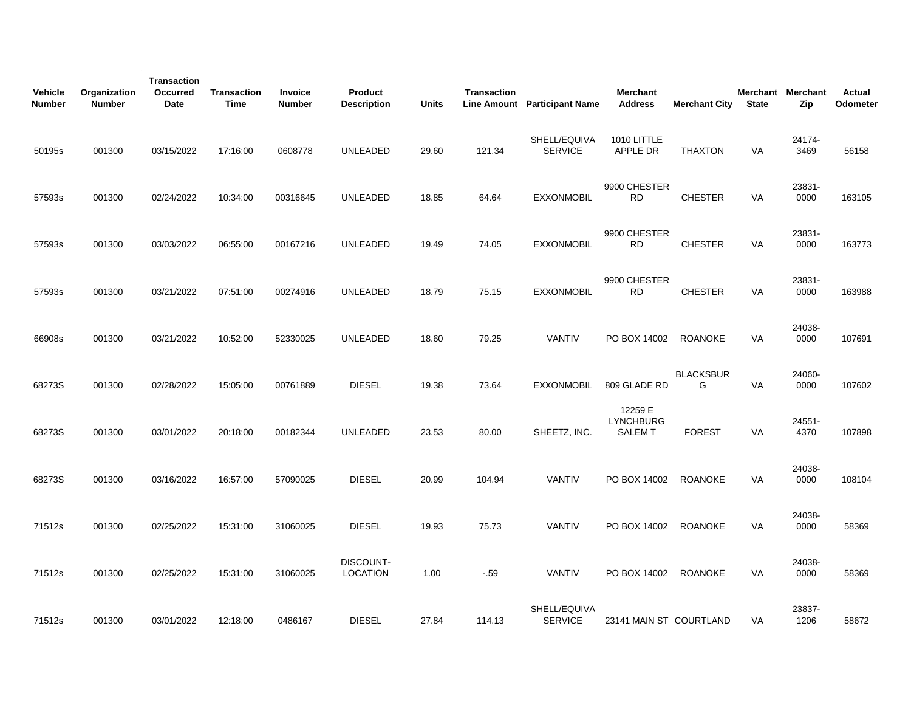| <b>Vehicle</b><br><b>Number</b> | Organization<br><b>Number</b> | Transaction<br>Occurred<br><b>Date</b> | <b>Transaction</b><br>Time | Invoice<br><b>Number</b> | Product<br><b>Description</b> | <b>Units</b> | <b>Transaction</b> | <b>Line Amount</b> Participant Name | <b>Merchant</b><br><b>Address</b>            | <b>Merchant City</b>  | <b>State</b> | Merchant Merchant<br>Zip | <b>Actual</b><br>Odometer |  |
|---------------------------------|-------------------------------|----------------------------------------|----------------------------|--------------------------|-------------------------------|--------------|--------------------|-------------------------------------|----------------------------------------------|-----------------------|--------------|--------------------------|---------------------------|--|
| 50195s                          | 001300                        | 03/15/2022                             | 17:16:00                   | 0608778                  | <b>UNLEADED</b>               | 29.60        | 121.34             | SHELL/EQUIVA<br><b>SERVICE</b>      | 1010 LITTLE<br>APPLE DR                      | <b>THAXTON</b>        | VA           | 24174-<br>3469           | 56158                     |  |
| 57593s                          | 001300                        | 02/24/2022                             | 10:34:00                   | 00316645                 | <b>UNLEADED</b>               | 18.85        | 64.64              | <b>EXXONMOBIL</b>                   | 9900 CHESTER<br>RD.                          | <b>CHESTER</b>        | VA           | 23831-<br>0000           | 163105                    |  |
| 57593s                          | 001300                        | 03/03/2022                             | 06:55:00                   | 00167216                 | UNLEADED                      | 19.49        | 74.05              | <b>EXXONMOBIL</b>                   | 9900 CHESTER<br><b>RD</b>                    | <b>CHESTER</b>        | <b>VA</b>    | 23831-<br>0000           | 163773                    |  |
| 57593s                          | 001300                        | 03/21/2022                             | 07:51:00                   | 00274916                 | <b>UNLEADED</b>               | 18.79        | 75.15              | <b>EXXONMOBIL</b>                   | 9900 CHESTER<br><b>RD</b>                    | <b>CHESTER</b>        | <b>VA</b>    | 23831-<br>0000           | 163988                    |  |
| 66908s                          | 001300                        | 03/21/2022                             | 10:52:00                   | 52330025                 | <b>UNLEADED</b>               | 18.60        | 79.25              | <b>VANTIV</b>                       | PO BOX 14002                                 | <b>ROANOKE</b>        | <b>VA</b>    | 24038-<br>0000           | 107691                    |  |
| 68273S                          | 001300                        | 02/28/2022                             | 15:05:00                   | 00761889                 | <b>DIESEL</b>                 | 19.38        | 73.64              | <b>EXXONMOBIL</b>                   | 809 GLADE RD                                 | <b>BLACKSBUR</b><br>G | VA           | 24060-<br>0000           | 107602                    |  |
| 68273S                          | 001300                        | 03/01/2022                             | 20:18:00                   | 00182344                 | <b>UNLEADED</b>               | 23.53        | 80.00              | SHEETZ, INC.                        | 12259 E<br><b>LYNCHBURG</b><br><b>SALEMT</b> | <b>FOREST</b>         | <b>VA</b>    | 24551-<br>4370           | 107898                    |  |
| 68273S                          | 001300                        | 03/16/2022                             | 16:57:00                   | 57090025                 | <b>DIESEL</b>                 | 20.99        | 104.94             | VANTIV                              | PO BOX 14002                                 | <b>ROANOKE</b>        | VA           | 24038-<br>0000           | 108104                    |  |
| 71512s                          | 001300                        | 02/25/2022                             | 15:31:00                   | 31060025                 | <b>DIESEL</b>                 | 19.93        | 75.73              | <b>VANTIV</b>                       | PO BOX 14002                                 | <b>ROANOKE</b>        | VA           | 24038-<br>0000           | 58369                     |  |
| 71512s                          | 001300                        | 02/25/2022                             | 15:31:00                   | 31060025                 | DISCOUNT-<br><b>LOCATION</b>  | 1.00         | $-.59$             | <b>VANTIV</b>                       | PO BOX 14002                                 | <b>ROANOKE</b>        | VA           | 24038-<br>0000           | 58369                     |  |
| 71512s                          | 001300                        | 03/01/2022                             | 12:18:00                   | 0486167                  | <b>DIESEL</b>                 | 27.84        | 114.13             | SHELL/EQUIVA<br><b>SERVICE</b>      | 23141 MAIN ST COURTLAND                      |                       | <b>VA</b>    | 23837-<br>1206           | 58672                     |  |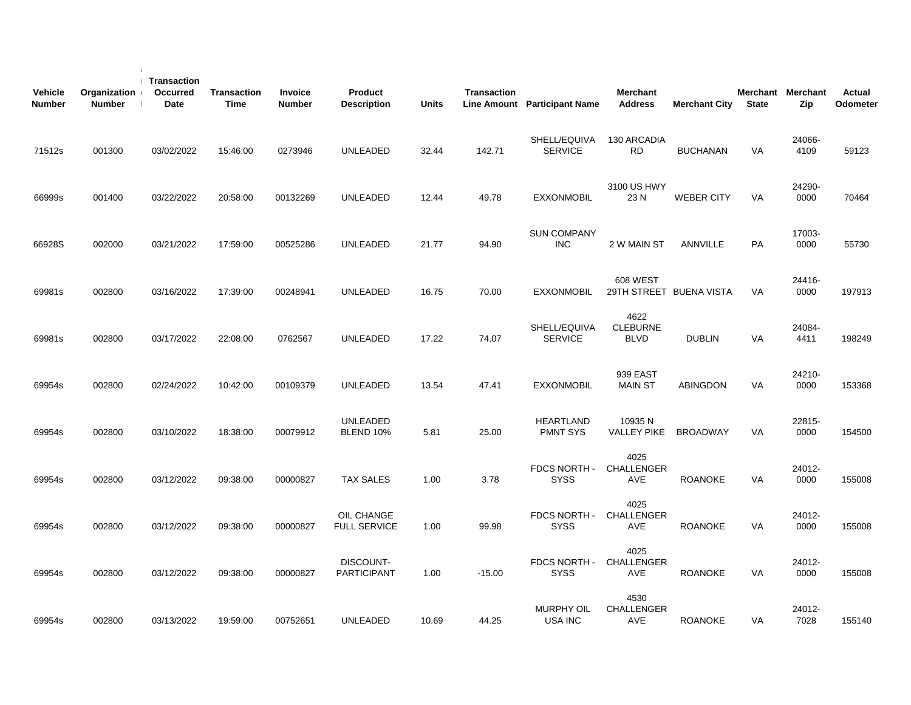| <b>Vehicle</b><br><b>Number</b> | Organization<br><b>Number</b> | Transaction<br><b>Occurred</b><br>Date | <b>Transaction</b><br><b>Time</b> | Invoice<br><b>Number</b> | Product<br><b>Description</b>     | <b>Units</b> | Transaction | Line Amount Participant Name     | <b>Merchant</b><br><b>Address</b>      | <b>Merchant City</b>    | Merchant Merchant<br><b>State</b> | Zip            | Actual<br>Odometer |
|---------------------------------|-------------------------------|----------------------------------------|-----------------------------------|--------------------------|-----------------------------------|--------------|-------------|----------------------------------|----------------------------------------|-------------------------|-----------------------------------|----------------|--------------------|
| 71512s                          | 001300                        | 03/02/2022                             | 15:46:00                          | 0273946                  | UNLEADED                          | 32.44        | 142.71      | SHELL/EQUIVA<br><b>SERVICE</b>   | 130 ARCADIA<br>RD.                     | <b>BUCHANAN</b>         | VA                                | 24066-<br>4109 | 59123              |
| 66999s                          | 001400                        | 03/22/2022                             | 20:58:00                          | 00132269                 | <b>UNLEADED</b>                   | 12.44        | 49.78       | <b>EXXONMOBIL</b>                | 3100 US HWY<br>23N                     | <b>WEBER CITY</b>       | <b>VA</b>                         | 24290-<br>0000 | 70464              |
| 66928S                          | 002000                        | 03/21/2022                             | 17:59:00                          | 00525286                 | UNLEADED                          | 21.77        | 94.90       | <b>SUN COMPANY</b><br><b>INC</b> | 2 W MAIN ST                            | ANNVILLE                | <b>PA</b>                         | 17003-<br>0000 | 55730              |
| 69981s                          | 002800                        | 03/16/2022                             | 17:39:00                          | 00248941                 | <b>UNLEADED</b>                   | 16.75        | 70.00       | <b>EXXONMOBIL</b>                | <b>608 WEST</b>                        | 29TH STREET BUENA VISTA | <b>VA</b>                         | 24416-<br>0000 | 197913             |
| 69981s                          | 002800                        | 03/17/2022                             | 22:08:00                          | 0762567                  | <b>UNLEADED</b>                   | 17.22        | 74.07       | SHELL/EQUIVA<br><b>SERVICE</b>   | 4622<br><b>CLEBURNE</b><br><b>BLVD</b> | <b>DUBLIN</b>           | <b>VA</b>                         | 24084-<br>4411 | 198249             |
| 69954s                          | 002800                        | 02/24/2022                             | 10:42:00                          | 00109379                 | UNLEADED                          | 13.54        | 47.41       | <b>EXXONMOBIL</b>                | 939 EAST<br><b>MAIN ST</b>             | <b>ABINGDON</b>         | <b>VA</b>                         | 24210-<br>0000 | 153368             |
| 69954s                          | 002800                        | 03/10/2022                             | 18:38:00                          | 00079912                 | <b>UNLEADED</b><br>BLEND 10%      | 5.81         | 25.00       | HEARTLAND<br><b>PMNT SYS</b>     | 10935N<br><b>VALLEY PIKE</b>           | <b>BROADWAY</b>         | VA                                | 22815-<br>0000 | 154500             |
| 69954s                          | 002800                        | 03/12/2022                             | 09:38:00                          | 00000827                 | <b>TAX SALES</b>                  | 1.00         | 3.78        | FDCS NORTH -<br><b>SYSS</b>      | 4025<br><b>CHALLENGER</b><br>AVE       | <b>ROANOKE</b>          | VA                                | 24012-<br>0000 | 155008             |
| 69954s                          | 002800                        | 03/12/2022                             | 09:38:00                          | 00000827                 | OIL CHANGE<br><b>FULL SERVICE</b> | 1.00         | 99.98       | FDCS NORTH -<br><b>SYSS</b>      | 4025<br><b>CHALLENGER</b><br>AVE       | <b>ROANOKE</b>          | VA                                | 24012-<br>0000 | 155008             |
| 69954s                          | 002800                        | 03/12/2022                             | 09:38:00                          | 00000827                 | DISCOUNT-<br><b>PARTICIPANT</b>   | 1.00         | $-15.00$    | FDCS NORTH -<br><b>SYSS</b>      | 4025<br><b>CHALLENGER</b><br>AVE       | <b>ROANOKE</b>          | VA                                | 24012-<br>0000 | 155008             |
| 69954s                          | 002800                        | 03/13/2022                             | 19:59:00                          | 00752651                 | UNLEADED                          | 10.69        | 44.25       | <b>MURPHY OIL</b><br>USA INC     | 4530<br><b>CHALLENGER</b><br>AVE       | <b>ROANOKE</b>          | VA                                | 24012-<br>7028 | 155140             |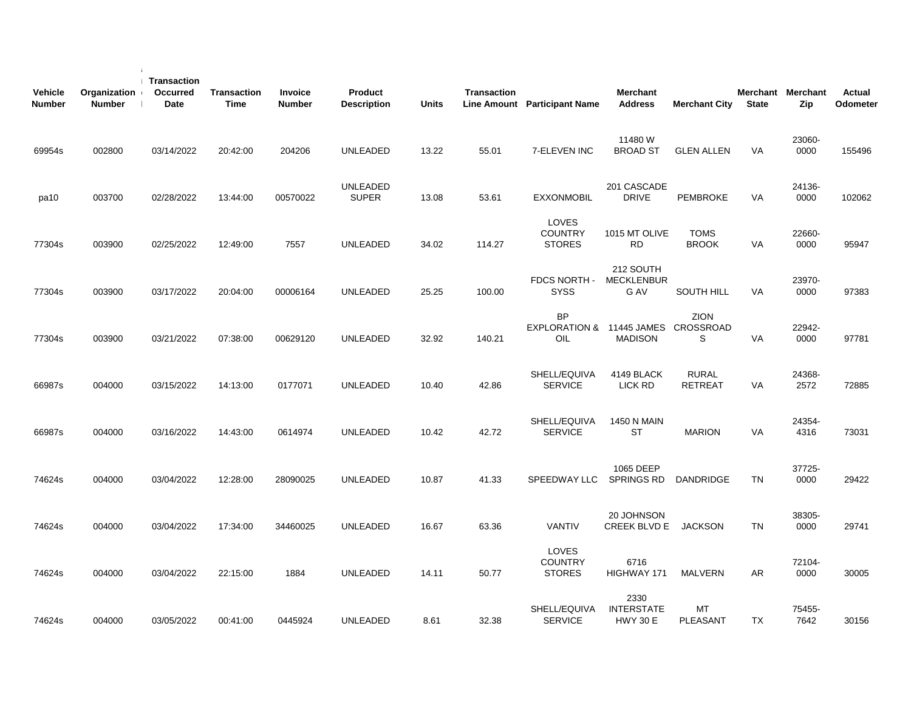| Vehicle<br><b>Number</b> | Organization<br><b>Number</b> | <b>Transaction</b><br><b>Occurred</b><br>Date | <b>Transaction</b><br><b>Time</b> | <b>Invoice</b><br><b>Number</b> | Product<br><b>Description</b>   | <b>Units</b> | <b>Transaction</b> | Line Amount Participant Name                            | <b>Merchant</b><br><b>Address</b>            | <b>Merchant City</b>           | <b>State</b> | Merchant Merchant<br>Zip | Actual<br>Odometer |
|--------------------------|-------------------------------|-----------------------------------------------|-----------------------------------|---------------------------------|---------------------------------|--------------|--------------------|---------------------------------------------------------|----------------------------------------------|--------------------------------|--------------|--------------------------|--------------------|
| 69954s                   | 002800                        | 03/14/2022                                    | 20:42:00                          | 204206                          | <b>UNLEADED</b>                 | 13.22        | 55.01              | 7-ELEVEN INC                                            | 11480W<br><b>BROAD ST</b>                    | <b>GLEN ALLEN</b>              | <b>VA</b>    | 23060-<br>0000           | 155496             |
| pa10                     | 003700                        | 02/28/2022                                    | 13:44:00                          | 00570022                        | <b>UNLEADED</b><br><b>SUPER</b> | 13.08        | 53.61              | <b>EXXONMOBIL</b>                                       | 201 CASCADE<br><b>DRIVE</b>                  | <b>PEMBROKE</b>                | VA           | 24136-<br>0000           | 102062             |
| 77304s                   | 003900                        | 02/25/2022                                    | 12:49:00                          | 7557                            | <b>UNLEADED</b>                 | 34.02        | 114.27             | LOVES<br><b>COUNTRY</b><br><b>STORES</b>                | 1015 MT OLIVE<br><b>RD</b>                   | <b>TOMS</b><br><b>BROOK</b>    | VA           | 22660-<br>0000           | 95947              |
| 77304s                   | 003900                        | 03/17/2022                                    | 20:04:00                          | 00006164                        | UNLEADED                        | 25.25        | 100.00             | FDCS NORTH -<br><b>SYSS</b>                             | 212 SOUTH<br><b>MECKLENBUR</b><br>G AV       | <b>SOUTH HILL</b>              | <b>VA</b>    | 23970-<br>0000           | 97383              |
| 77304s                   | 003900                        | 03/21/2022                                    | 07:38:00                          | 00629120                        | <b>UNLEADED</b>                 | 32.92        | 140.21             | <b>BP</b><br>EXPLORATION & 11445 JAMES CROSSROAD<br>OIL | <b>MADISON</b>                               | <b>ZION</b><br>S               | VA           | 22942-<br>0000           | 97781              |
| 66987s                   | 004000                        | 03/15/2022                                    | 14:13:00                          | 0177071                         | <b>UNLEADED</b>                 | 10.40        | 42.86              | SHELL/EQUIVA<br><b>SERVICE</b>                          | 4149 BLACK<br>LICK RD                        | <b>RURAL</b><br><b>RETREAT</b> | VA           | 24368-<br>2572           | 72885              |
| 66987s                   | 004000                        | 03/16/2022                                    | 14:43:00                          | 0614974                         | <b>UNLEADED</b>                 | 10.42        | 42.72              | SHELL/EQUIVA<br><b>SERVICE</b>                          | <b>1450 N MAIN</b><br>ST                     | <b>MARION</b>                  | VA           | 24354-<br>4316           | 73031              |
| 74624s                   | 004000                        | 03/04/2022                                    | 12:28:00                          | 28090025                        | <b>UNLEADED</b>                 | 10.87        | 41.33              | SPEEDWAY LLC                                            | 1065 DEEP<br><b>SPRINGS RD</b>               | <b>DANDRIDGE</b>               | <b>TN</b>    | 37725-<br>0000           | 29422              |
| 74624s                   | 004000                        | 03/04/2022                                    | 17:34:00                          | 34460025                        | <b>UNLEADED</b>                 | 16.67        | 63.36              | <b>VANTIV</b>                                           | 20 JOHNSON<br>CREEK BLVD E JACKSON           |                                | <b>TN</b>    | 38305-<br>0000           | 29741              |
| 74624s                   | 004000                        | 03/04/2022                                    | 22:15:00                          | 1884                            | <b>UNLEADED</b>                 | 14.11        | 50.77              | <b>LOVES</b><br><b>COUNTRY</b><br><b>STORES</b>         | 6716<br>HIGHWAY 171                          | MALVERN                        | AR           | 72104-<br>0000           | 30005              |
| 74624s                   | 004000                        | 03/05/2022                                    | 00:41:00                          | 0445924                         | <b>UNLEADED</b>                 | 8.61         | 32.38              | SHELL/EQUIVA<br><b>SERVICE</b>                          | 2330<br><b>INTERSTATE</b><br><b>HWY 30 E</b> | МT<br>PLEASANT                 | TX           | 75455-<br>7642           | 30156              |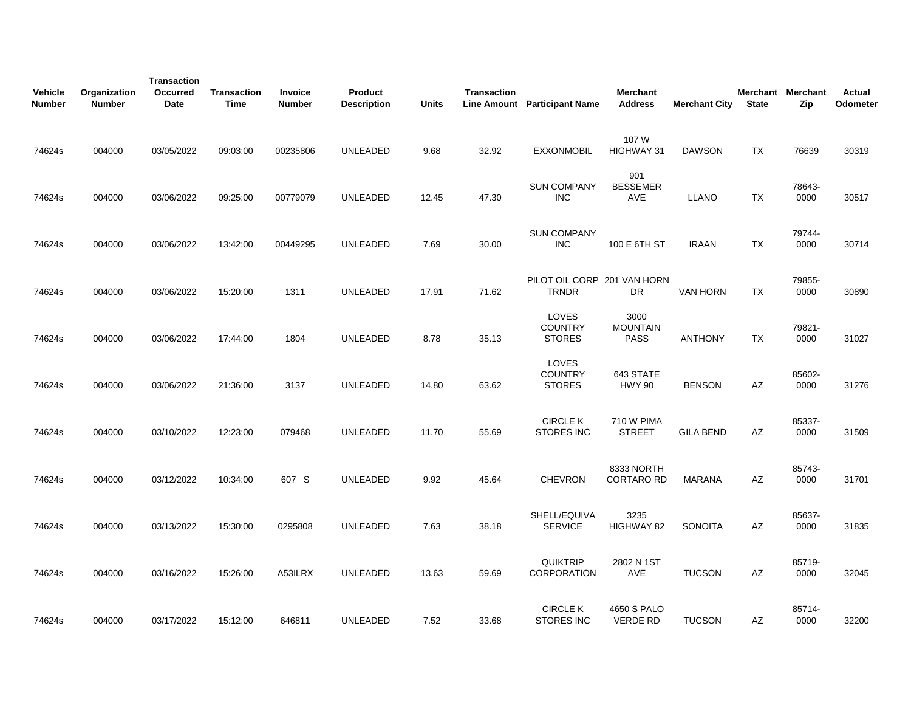| <b>Vehicle</b><br><b>Number</b> | Organization<br><b>Number</b> | <b>Transaction</b><br><b>Occurred</b><br>Date | <b>Transaction</b><br><b>Time</b> | Invoice<br><b>Number</b> | Product<br><b>Description</b> | <b>Units</b> | <b>Transaction</b> | Line Amount Participant Name                | <b>Merchant</b><br><b>Address</b>      | <b>Merchant City</b> | <b>State</b> | Merchant Merchant<br>Zip | Actual<br>Odometer |  |
|---------------------------------|-------------------------------|-----------------------------------------------|-----------------------------------|--------------------------|-------------------------------|--------------|--------------------|---------------------------------------------|----------------------------------------|----------------------|--------------|--------------------------|--------------------|--|
| 74624s                          | 004000                        | 03/05/2022                                    | 09:03:00                          | 00235806                 | <b>UNLEADED</b>               | 9.68         | 32.92              | <b>EXXONMOBIL</b>                           | 107 W<br>HIGHWAY 31                    | <b>DAWSON</b>        | TX           | 76639                    | 30319              |  |
| 74624s                          | 004000                        | 03/06/2022                                    | 09:25:00                          | 00779079                 | UNLEADED                      | 12.45        | 47.30              | <b>SUN COMPANY</b><br><b>INC</b>            | 901<br><b>BESSEMER</b><br>AVE          | <b>LLANO</b>         | TX           | 78643-<br>0000           | 30517              |  |
| 74624s                          | 004000                        | 03/06/2022                                    | 13:42:00                          | 00449295                 | <b>UNLEADED</b>               | 7.69         | 30.00              | <b>SUN COMPANY</b><br><b>INC</b>            | 100 E 6TH ST                           | <b>IRAAN</b>         | <b>TX</b>    | 79744-<br>0000           | 30714              |  |
| 74624s                          | 004000                        | 03/06/2022                                    | 15:20:00                          | 1311                     | <b>UNLEADED</b>               | 17.91        | 71.62              | PILOT OIL CORP 201 VAN HORN<br><b>TRNDR</b> | DR                                     | <b>VAN HORN</b>      | <b>TX</b>    | 79855-<br>0000           | 30890              |  |
| 74624s                          | 004000                        | 03/06/2022                                    | 17:44:00                          | 1804                     | UNLEADED                      | 8.78         | 35.13              | LOVES<br><b>COUNTRY</b><br><b>STORES</b>    | 3000<br><b>MOUNTAIN</b><br><b>PASS</b> | <b>ANTHONY</b>       | TX           | 79821-<br>0000           | 31027              |  |
| 74624s                          | 004000                        | 03/06/2022                                    | 21:36:00                          | 3137                     | <b>UNLEADED</b>               | 14.80        | 63.62              | LOVES<br><b>COUNTRY</b><br><b>STORES</b>    | 643 STATE<br><b>HWY 90</b>             | <b>BENSON</b>        | AZ           | 85602-<br>0000           | 31276              |  |
| 74624s                          | 004000                        | 03/10/2022                                    | 12:23:00                          | 079468                   | <b>UNLEADED</b>               | 11.70        | 55.69              | <b>CIRCLE K</b><br><b>STORES INC</b>        | <b>710 W PIMA</b><br><b>STREET</b>     | <b>GILA BEND</b>     | AZ           | 85337-<br>0000           | 31509              |  |
| 74624s                          | 004000                        | 03/12/2022                                    | 10:34:00                          | 607 S                    | UNLEADED                      | 9.92         | 45.64              | <b>CHEVRON</b>                              | 8333 NORTH<br><b>CORTARO RD</b>        | <b>MARANA</b>        | AZ           | 85743-<br>0000           | 31701              |  |
| 74624s                          | 004000                        | 03/13/2022                                    | 15:30:00                          | 0295808                  | <b>UNLEADED</b>               | 7.63         | 38.18              | SHELL/EQUIVA<br><b>SERVICE</b>              | 3235<br>HIGHWAY 82                     | <b>SONOITA</b>       | AZ           | 85637-<br>0000           | 31835              |  |
| 74624s                          | 004000                        | 03/16/2022                                    | 15:26:00                          | A53ILRX                  | <b>UNLEADED</b>               | 13.63        | 59.69              | <b>QUIKTRIP</b><br><b>CORPORATION</b>       | 2802 N 1ST<br><b>AVE</b>               | <b>TUCSON</b>        | AZ           | 85719-<br>0000           | 32045              |  |
| 74624s                          | 004000                        | 03/17/2022                                    | 15:12:00                          | 646811                   | <b>UNLEADED</b>               | 7.52         | 33.68              | <b>CIRCLE K</b><br><b>STORES INC</b>        | 4650 S PALO<br><b>VERDE RD</b>         | <b>TUCSON</b>        | AZ           | 85714-<br>0000           | 32200              |  |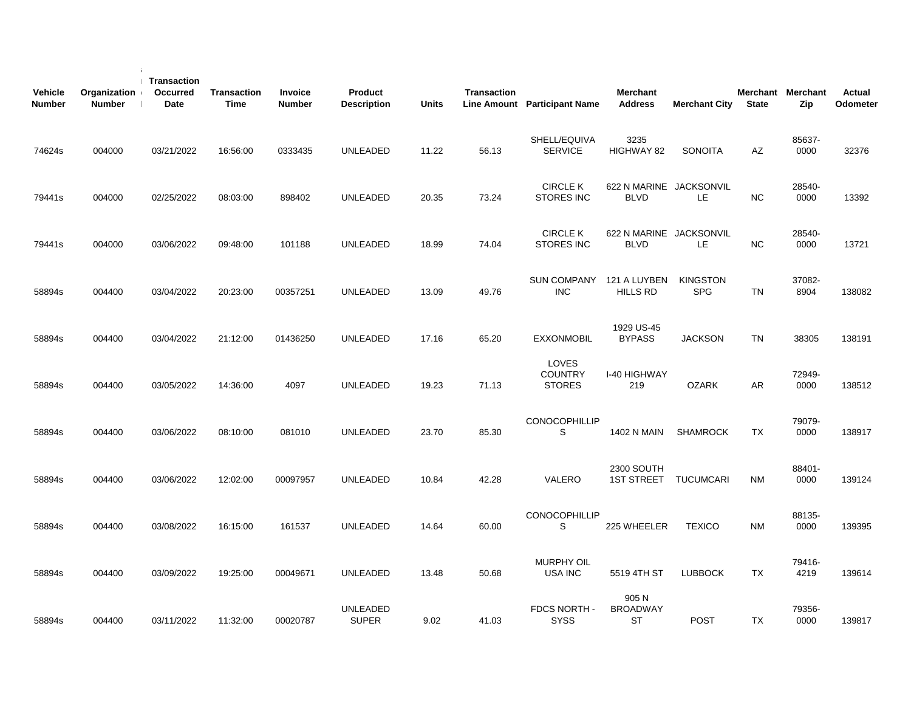| <b>Vehicle</b><br><b>Number</b> | Organization<br><b>Number</b> | Transaction<br>Occurred<br><b>Date</b> | <b>Transaction</b><br><b>Time</b> | Invoice<br><b>Number</b> | Product<br><b>Description</b> | <b>Units</b> | <b>Transaction</b> | Line Amount Participant Name             | <b>Merchant</b><br><b>Address</b>      | <b>Merchant City</b>          | <b>State</b> | Merchant Merchant<br>Zip | <b>Actual</b><br>Odometer |
|---------------------------------|-------------------------------|----------------------------------------|-----------------------------------|--------------------------|-------------------------------|--------------|--------------------|------------------------------------------|----------------------------------------|-------------------------------|--------------|--------------------------|---------------------------|
| 74624s                          | 004000                        | 03/21/2022                             | 16:56:00                          | 0333435                  | <b>UNLEADED</b>               | 11.22        | 56.13              | SHELL/EQUIVA<br><b>SERVICE</b>           | 3235<br>HIGHWAY 82                     | <b>SONOITA</b>                | AZ           | 85637-<br>0000           | 32376                     |
| 79441s                          | 004000                        | 02/25/2022                             | 08:03:00                          | 898402                   | <b>UNLEADED</b>               | 20.35        | 73.24              | <b>CIRCLE K</b><br><b>STORES INC</b>     | 622 N MARINE JACKSONVIL<br><b>BLVD</b> | LE.                           | <b>NC</b>    | 28540-<br>0000           | 13392                     |
| 79441s                          | 004000                        | 03/06/2022                             | 09:48:00                          | 101188                   | <b>UNLEADED</b>               | 18.99        | 74.04              | <b>CIRCLE K</b><br><b>STORES INC</b>     | 622 N MARINE JACKSONVIL<br><b>BLVD</b> | LE.                           | NC.          | 28540-<br>0000           | 13721                     |
| 58894s                          | 004400                        | 03/04/2022                             | 20:23:00                          | 00357251                 | <b>UNLEADED</b>               | 13.09        | 49.76              | <b>SUN COMPANY</b><br><b>INC</b>         | 121 A LUYBEN<br><b>HILLS RD</b>        | <b>KINGSTON</b><br><b>SPG</b> | <b>TN</b>    | 37082-<br>8904           | 138082                    |
| 58894s                          | 004400                        | 03/04/2022                             | 21:12:00                          | 01436250                 | <b>UNLEADED</b>               | 17.16        | 65.20              | <b>EXXONMOBIL</b>                        | 1929 US-45<br><b>BYPASS</b>            | <b>JACKSON</b>                | <b>TN</b>    | 38305                    | 138191                    |
| 58894s                          | 004400                        | 03/05/2022                             | 14:36:00                          | 4097                     | <b>UNLEADED</b>               | 19.23        | 71.13              | LOVES<br><b>COUNTRY</b><br><b>STORES</b> | I-40 HIGHWAY<br>219                    | <b>OZARK</b>                  | <b>AR</b>    | 72949-<br>0000           | 138512                    |
| 58894s                          | 004400                        | 03/06/2022                             | 08:10:00                          | 081010                   | <b>UNLEADED</b>               | 23.70        | 85.30              | <b>CONOCOPHILLIP</b><br>S                | 1402 N MAIN                            | <b>SHAMROCK</b>               | <b>TX</b>    | 79079-<br>0000           | 138917                    |
| 58894s                          | 004400                        | 03/06/2022                             | 12:02:00                          | 00097957                 | <b>UNLEADED</b>               | 10.84        | 42.28              | VALERO                                   | <b>2300 SOUTH</b><br><b>1ST STREET</b> | <b>TUCUMCARI</b>              | <b>NM</b>    | 88401-<br>0000           | 139124                    |
| 58894s                          | 004400                        | 03/08/2022                             | 16:15:00                          | 161537                   | <b>UNLEADED</b>               | 14.64        | 60.00              | CONOCOPHILLIP<br>S                       | 225 WHEELER                            | <b>TEXICO</b>                 | NM           | 88135-<br>0000           | 139395                    |
| 58894s                          | 004400                        | 03/09/2022                             | 19:25:00                          | 00049671                 | <b>UNLEADED</b>               | 13.48        | 50.68              | <b>MURPHY OIL</b><br>USA INC             | 5519 4TH ST                            | <b>LUBBOCK</b>                | TX           | 79416-<br>4219           | 139614                    |
| 58894s                          | 004400                        | 03/11/2022                             | 11:32:00                          | 00020787                 | UNLEADED<br><b>SUPER</b>      | 9.02         | 41.03              | FDCS NORTH -<br><b>SYSS</b>              | 905 N<br><b>BROADWAY</b><br><b>ST</b>  | <b>POST</b>                   | TX           | 79356-<br>0000           | 139817                    |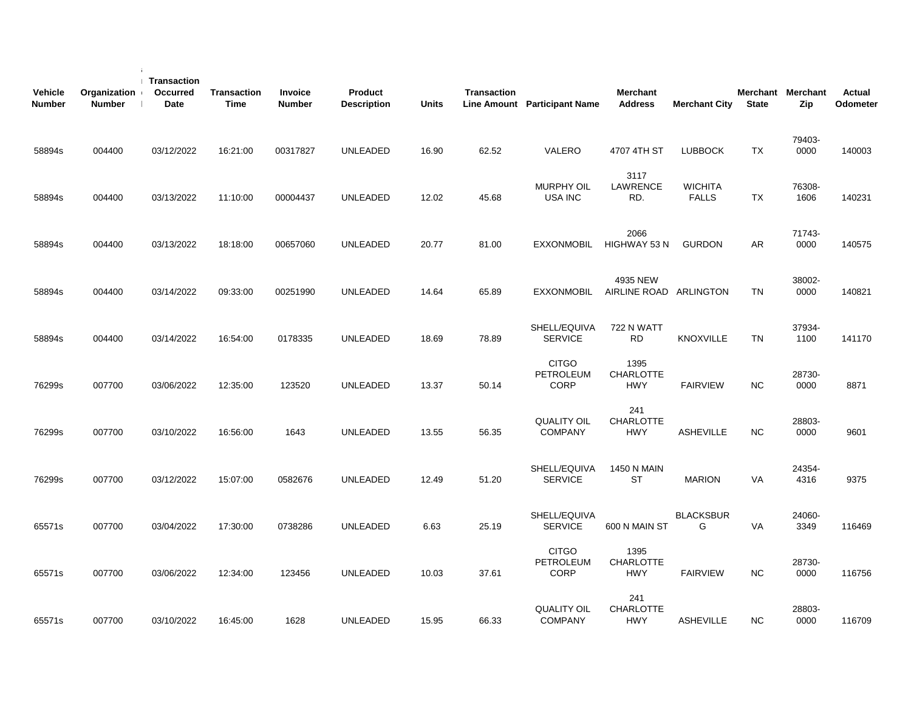| <b>Vehicle</b><br><b>Number</b> | Organization<br><b>Number</b> | Transaction<br>Occurred<br>Date | <b>Transaction</b><br><b>Time</b> | Invoice<br><b>Number</b> | <b>Product</b><br><b>Description</b> | <b>Units</b> | <b>Transaction</b> | Line Amount Participant Name                    | <b>Merchant</b><br><b>Address</b>      | <b>Merchant City</b>           | <b>State</b> | Merchant Merchant<br>Zip | <b>Actual</b><br>Odometer |
|---------------------------------|-------------------------------|---------------------------------|-----------------------------------|--------------------------|--------------------------------------|--------------|--------------------|-------------------------------------------------|----------------------------------------|--------------------------------|--------------|--------------------------|---------------------------|
| 58894s                          | 004400                        | 03/12/2022                      | 16:21:00                          | 00317827                 | <b>UNLEADED</b>                      | 16.90        | 62.52              | VALERO                                          | 4707 4TH ST                            | <b>LUBBOCK</b>                 | TX           | 79403-<br>0000           | 140003                    |
| 58894s                          | 004400                        | 03/13/2022                      | 11:10:00                          | 00004437                 | UNLEADED                             | 12.02        | 45.68              | <b>MURPHY OIL</b><br>USA INC                    | 3117<br>LAWRENCE<br>RD.                | <b>WICHITA</b><br><b>FALLS</b> | TX           | 76308-<br>1606           | 140231                    |
| 58894s                          | 004400                        | 03/13/2022                      | 18:18:00                          | 00657060                 | UNLEADED                             | 20.77        | 81.00              | <b>EXXONMOBIL</b>                               | 2066<br>HIGHWAY 53 N                   | <b>GURDON</b>                  | AR.          | 71743-<br>0000           | 140575                    |
| 58894s                          | 004400                        | 03/14/2022                      | 09:33:00                          | 00251990                 | <b>UNLEADED</b>                      | 14.64        | 65.89              | <b>EXXONMOBIL</b>                               | 4935 NEW<br>AIRLINE ROAD ARLINGTON     |                                | TN           | 38002-<br>0000           | 140821                    |
| 58894s                          | 004400                        | 03/14/2022                      | 16:54:00                          | 0178335                  | <b>UNLEADED</b>                      | 18.69        | 78.89              | SHELL/EQUIVA<br><b>SERVICE</b>                  | <b>722 N WATT</b><br><b>RD</b>         | <b>KNOXVILLE</b>               | <b>TN</b>    | 37934-<br>1100           | 141170                    |
| 76299s                          | 007700                        | 03/06/2022                      | 12:35:00                          | 123520                   | <b>UNLEADED</b>                      | 13.37        | 50.14              | <b>CITGO</b><br><b>PETROLEUM</b><br><b>CORP</b> | 1395<br><b>CHARLOTTE</b><br><b>HWY</b> | <b>FAIRVIEW</b>                | <b>NC</b>    | 28730-<br>0000           | 8871                      |
| 76299s                          | 007700                        | 03/10/2022                      | 16:56:00                          | 1643                     | <b>UNLEADED</b>                      | 13.55        | 56.35              | <b>QUALITY OIL</b><br><b>COMPANY</b>            | 241<br><b>CHARLOTTE</b><br><b>HWY</b>  | <b>ASHEVILLE</b>               | <b>NC</b>    | 28803-<br>0000           | 9601                      |
| 76299s                          | 007700                        | 03/12/2022                      | 15:07:00                          | 0582676                  | <b>UNLEADED</b>                      | 12.49        | 51.20              | SHELL/EQUIVA<br><b>SERVICE</b>                  | <b>1450 N MAIN</b><br><b>ST</b>        | <b>MARION</b>                  | VA           | 24354-<br>4316           | 9375                      |
| 65571s                          | 007700                        | 03/04/2022                      | 17:30:00                          | 0738286                  | <b>UNLEADED</b>                      | 6.63         | 25.19              | SHELL/EQUIVA<br><b>SERVICE</b>                  | 600 N MAIN ST                          | <b>BLACKSBUR</b><br>G          | VA           | 24060-<br>3349           | 116469                    |
| 65571s                          | 007700                        | 03/06/2022                      | 12:34:00                          | 123456                   | UNLEADED                             | 10.03        | 37.61              | <b>CITGO</b><br><b>PETROLEUM</b><br><b>CORP</b> | 1395<br><b>CHARLOTTE</b><br><b>HWY</b> | <b>FAIRVIEW</b>                | NC.          | 28730-<br>0000           | 116756                    |
| 65571s                          | 007700                        | 03/10/2022                      | 16:45:00                          | 1628                     | <b>UNLEADED</b>                      | 15.95        | 66.33              | <b>QUALITY OIL</b><br><b>COMPANY</b>            | 241<br><b>CHARLOTTE</b><br><b>HWY</b>  | <b>ASHEVILLE</b>               | <b>NC</b>    | 28803-<br>0000           | 116709                    |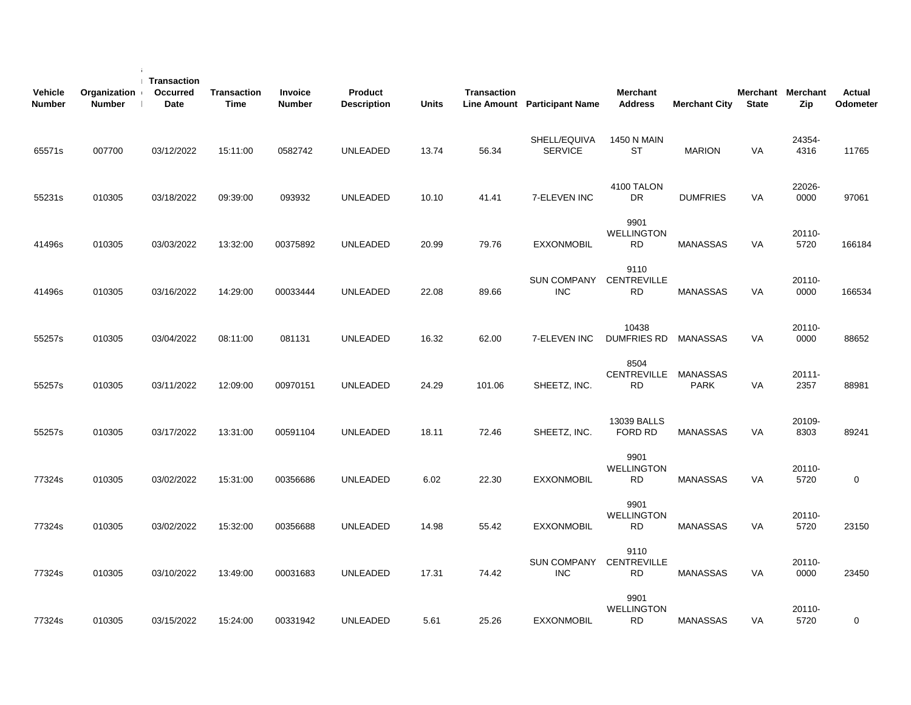| <b>Vehicle</b><br><b>Number</b> | Organization<br><b>Number</b> | Transaction<br>Occurred<br>Date | <b>Transaction</b><br><b>Time</b> | Invoice<br><b>Number</b> | Product<br><b>Description</b> | <b>Units</b> | <b>Transaction</b> | Line Amount Participant Name     | <b>Merchant</b><br><b>Address</b>       | <b>Merchant City</b>           | <b>State</b> | Merchant Merchant<br>Zip | Actual<br>Odometer |
|---------------------------------|-------------------------------|---------------------------------|-----------------------------------|--------------------------|-------------------------------|--------------|--------------------|----------------------------------|-----------------------------------------|--------------------------------|--------------|--------------------------|--------------------|
| 65571s                          | 007700                        | 03/12/2022                      | 15:11:00                          | 0582742                  | <b>UNLEADED</b>               | 13.74        | 56.34              | SHELL/EQUIVA<br><b>SERVICE</b>   | <b>1450 N MAIN</b><br><b>ST</b>         | <b>MARION</b>                  | VA           | 24354-<br>4316           | 11765              |
| 55231s                          | 010305                        | 03/18/2022                      | 09:39:00                          | 093932                   | <b>UNLEADED</b>               | 10.10        | 41.41              | 7-ELEVEN INC                     | 4100 TALON<br><b>DR</b>                 | <b>DUMFRIES</b>                | <b>VA</b>    | 22026-<br>0000           | 97061              |
| 41496s                          | 010305                        | 03/03/2022                      | 13:32:00                          | 00375892                 | <b>UNLEADED</b>               | 20.99        | 79.76              | <b>EXXONMOBIL</b>                | 9901<br><b>WELLINGTON</b><br><b>RD</b>  | <b>MANASSAS</b>                | <b>VA</b>    | 20110-<br>5720           | 166184             |
| 41496s                          | 010305                        | 03/16/2022                      | 14:29:00                          | 00033444                 | <b>UNLEADED</b>               | 22.08        | 89.66              | <b>SUN COMPANY</b><br><b>INC</b> | 9110<br><b>CENTREVILLE</b><br><b>RD</b> | <b>MANASSAS</b>                | VA           | 20110-<br>0000           | 166534             |
| 55257s                          | 010305                        | 03/04/2022                      | 08:11:00                          | 081131                   | <b>UNLEADED</b>               | 16.32        | 62.00              | 7-ELEVEN INC                     | 10438<br><b>DUMFRIES RD</b>             | MANASSAS                       | <b>VA</b>    | 20110-<br>0000           | 88652              |
| 55257s                          | 010305                        | 03/11/2022                      | 12:09:00                          | 00970151                 | <b>UNLEADED</b>               | 24.29        | 101.06             | SHEETZ, INC.                     | 8504<br><b>CENTREVILLE</b><br><b>RD</b> | <b>MANASSAS</b><br><b>PARK</b> | VA           | 20111-<br>2357           | 88981              |
| 55257s                          | 010305                        | 03/17/2022                      | 13:31:00                          | 00591104                 | <b>UNLEADED</b>               | 18.11        | 72.46              | SHEETZ, INC.                     | 13039 BALLS<br>FORD RD                  | <b>MANASSAS</b>                | <b>VA</b>    | 20109-<br>8303           | 89241              |
| 77324s                          | 010305                        | 03/02/2022                      | 15:31:00                          | 00356686                 | <b>UNLEADED</b>               | 6.02         | 22.30              | <b>EXXONMOBIL</b>                | 9901<br><b>WELLINGTON</b><br>RD         | <b>MANASSAS</b>                | VA           | 20110-<br>5720           | $\mathbf 0$        |
| 77324s                          | 010305                        | 03/02/2022                      | 15:32:00                          | 00356688                 | <b>UNLEADED</b>               | 14.98        | 55.42              | <b>EXXONMOBIL</b>                | 9901<br><b>WELLINGTON</b><br><b>RD</b>  | <b>MANASSAS</b>                | VA           | 20110-<br>5720           | 23150              |
| 77324s                          | 010305                        | 03/10/2022                      | 13:49:00                          | 00031683                 | <b>UNLEADED</b>               | 17.31        | 74.42              | <b>SUN COMPANY</b><br><b>INC</b> | 9110<br><b>CENTREVILLE</b><br><b>RD</b> | <b>MANASSAS</b>                | VA           | 20110-<br>0000           | 23450              |
| 77324s                          | 010305                        | 03/15/2022                      | 15:24:00                          | 00331942                 | <b>UNLEADED</b>               | 5.61         | 25.26              | <b>EXXONMOBIL</b>                | 9901<br><b>WELLINGTON</b><br><b>RD</b>  | <b>MANASSAS</b>                | VA           | 20110-<br>5720           | $\mathbf 0$        |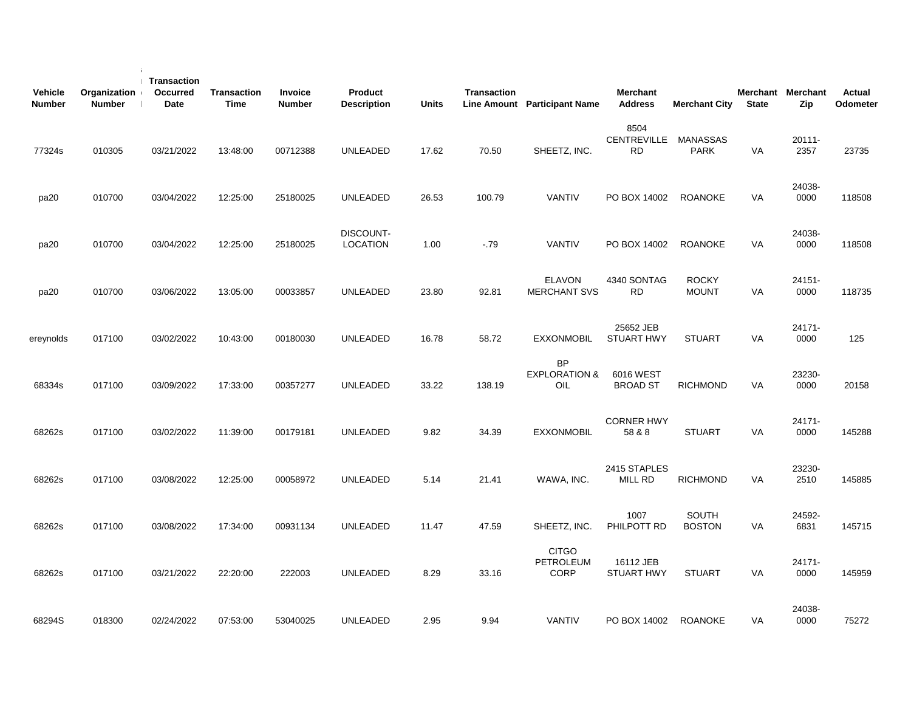| <b>Vehicle</b><br>Number | Organization<br><b>Number</b> | <b>Transaction</b><br>Occurred<br>Date | <b>Transaction</b><br><b>Time</b> | <b>Invoice</b><br><b>Number</b> | Product<br><b>Description</b>       | <b>Units</b> | <b>Transaction</b> | Line Amount Participant Name                 | <b>Merchant</b><br><b>Address</b> | <b>Merchant City</b>           | <b>State</b> | Merchant Merchant<br>Zip | Actual<br>Odometer |  |
|--------------------------|-------------------------------|----------------------------------------|-----------------------------------|---------------------------------|-------------------------------------|--------------|--------------------|----------------------------------------------|-----------------------------------|--------------------------------|--------------|--------------------------|--------------------|--|
| 77324s                   | 010305                        | 03/21/2022                             | 13:48:00                          | 00712388                        | <b>UNLEADED</b>                     | 17.62        | 70.50              | SHEETZ, INC.                                 | 8504<br>CENTREVILLE<br><b>RD</b>  | <b>MANASSAS</b><br><b>PARK</b> | VA           | $20111 -$<br>2357        | 23735              |  |
| pa20                     | 010700                        | 03/04/2022                             | 12:25:00                          | 25180025                        | <b>UNLEADED</b>                     | 26.53        | 100.79             | <b>VANTIV</b>                                | PO BOX 14002                      | <b>ROANOKE</b>                 | VA           | 24038-<br>0000           | 118508             |  |
| pa20                     | 010700                        | 03/04/2022                             | 12:25:00                          | 25180025                        | <b>DISCOUNT-</b><br><b>LOCATION</b> | 1.00         | $-.79$             | <b>VANTIV</b>                                | PO BOX 14002                      | <b>ROANOKE</b>                 | VA           | 24038-<br>0000           | 118508             |  |
| pa20                     | 010700                        | 03/06/2022                             | 13:05:00                          | 00033857                        | <b>UNLEADED</b>                     | 23.80        | 92.81              | <b>ELAVON</b><br><b>MERCHANT SVS</b>         | 4340 SONTAG<br><b>RD</b>          | <b>ROCKY</b><br><b>MOUNT</b>   | VA           | 24151-<br>0000           | 118735             |  |
| ereynolds                | 017100                        | 03/02/2022                             | 10:43:00                          | 00180030                        | <b>UNLEADED</b>                     | 16.78        | 58.72              | <b>EXXONMOBIL</b>                            | 25652 JEB<br><b>STUART HWY</b>    | <b>STUART</b>                  | VA           | 24171-<br>0000           | 125                |  |
| 68334s                   | 017100                        | 03/09/2022                             | 17:33:00                          | 00357277                        | <b>UNLEADED</b>                     | 33.22        | 138.19             | <b>BP</b><br><b>EXPLORATION &amp;</b><br>OIL | 6016 WEST<br><b>BROAD ST</b>      | <b>RICHMOND</b>                | <b>VA</b>    | 23230-<br>0000           | 20158              |  |
| 68262s                   | 017100                        | 03/02/2022                             | 11:39:00                          | 00179181                        | <b>UNLEADED</b>                     | 9.82         | 34.39              | <b>EXXONMOBIL</b>                            | <b>CORNER HWY</b><br>58 & 8       | <b>STUART</b>                  | <b>VA</b>    | 24171-<br>0000           | 145288             |  |
| 68262s                   | 017100                        | 03/08/2022                             | 12:25:00                          | 00058972                        | <b>UNLEADED</b>                     | 5.14         | 21.41              | WAWA, INC.                                   | 2415 STAPLES<br>MILL RD           | <b>RICHMOND</b>                | VA           | 23230-<br>2510           | 145885             |  |
| 68262s                   | 017100                        | 03/08/2022                             | 17:34:00                          | 00931134                        | <b>UNLEADED</b>                     | 11.47        | 47.59              | SHEETZ, INC.                                 | 1007<br>PHILPOTT RD               | <b>SOUTH</b><br><b>BOSTON</b>  | VA           | 24592-<br>6831           | 145715             |  |
| 68262s                   | 017100                        | 03/21/2022                             | 22:20:00                          | 222003                          | <b>UNLEADED</b>                     | 8.29         | 33.16              | <b>CITGO</b><br>PETROLEUM<br><b>CORP</b>     | 16112 JEB<br><b>STUART HWY</b>    | <b>STUART</b>                  | VA           | 24171-<br>0000           | 145959             |  |
| 68294S                   | 018300                        | 02/24/2022                             | 07:53:00                          | 53040025                        | <b>UNLEADED</b>                     | 2.95         | 9.94               | <b>VANTIV</b>                                | PO BOX 14002                      | <b>ROANOKE</b>                 | VA           | 24038-<br>0000           | 75272              |  |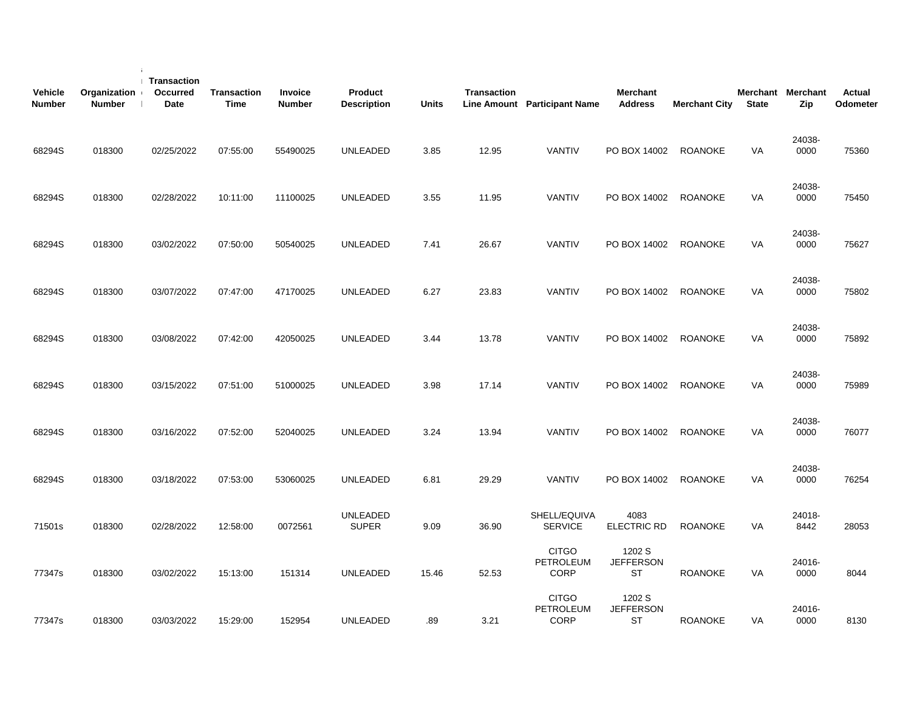| <b>Vehicle</b><br><b>Number</b> | Organization<br><b>Number</b> | Transaction<br>Occurred<br>Date | <b>Transaction</b><br><b>Time</b> | Invoice<br><b>Number</b> | Product<br><b>Description</b>   | <b>Units</b> | <b>Transaction</b> | <b>Line Amount</b> Participant Name      | Merchant<br><b>Address</b>              | <b>Merchant City</b> | <b>State</b> | Merchant Merchant<br>Zip | <b>Actual</b><br>Odometer |
|---------------------------------|-------------------------------|---------------------------------|-----------------------------------|--------------------------|---------------------------------|--------------|--------------------|------------------------------------------|-----------------------------------------|----------------------|--------------|--------------------------|---------------------------|
| 68294S                          | 018300                        | 02/25/2022                      | 07:55:00                          | 55490025                 | <b>UNLEADED</b>                 | 3.85         | 12.95              | <b>VANTIV</b>                            | PO BOX 14002                            | <b>ROANOKE</b>       | <b>VA</b>    | 24038-<br>0000           | 75360                     |
| 68294S                          | 018300                        | 02/28/2022                      | 10:11:00                          | 11100025                 | <b>UNLEADED</b>                 | 3.55         | 11.95              | <b>VANTIV</b>                            | PO BOX 14002                            | <b>ROANOKE</b>       | VA           | 24038-<br>0000           | 75450                     |
| 68294S                          | 018300                        | 03/02/2022                      | 07:50:00                          | 50540025                 | <b>UNLEADED</b>                 | 7.41         | 26.67              | <b>VANTIV</b>                            | PO BOX 14002                            | <b>ROANOKE</b>       | VA           | 24038-<br>0000           | 75627                     |
| 68294S                          | 018300                        | 03/07/2022                      | 07:47:00                          | 47170025                 | <b>UNLEADED</b>                 | 6.27         | 23.83              | VANTIV                                   | PO BOX 14002                            | <b>ROANOKE</b>       | VA           | 24038-<br>0000           | 75802                     |
| 68294S                          | 018300                        | 03/08/2022                      | 07:42:00                          | 42050025                 | UNLEADED                        | 3.44         | 13.78              | <b>VANTIV</b>                            | PO BOX 14002                            | <b>ROANOKE</b>       | VA           | 24038-<br>0000           | 75892                     |
| 68294S                          | 018300                        | 03/15/2022                      | 07:51:00                          | 51000025                 | UNLEADED                        | 3.98         | 17.14              | <b>VANTIV</b>                            | PO BOX 14002                            | <b>ROANOKE</b>       | <b>VA</b>    | 24038-<br>0000           | 75989                     |
| 68294S                          | 018300                        | 03/16/2022                      | 07:52:00                          | 52040025                 | <b>UNLEADED</b>                 | 3.24         | 13.94              | <b>VANTIV</b>                            | PO BOX 14002                            | <b>ROANOKE</b>       | <b>VA</b>    | 24038-<br>0000           | 76077                     |
| 68294S                          | 018300                        | 03/18/2022                      | 07:53:00                          | 53060025                 | <b>UNLEADED</b>                 | 6.81         | 29.29              | <b>VANTIV</b>                            | PO BOX 14002                            | <b>ROANOKE</b>       | VA           | 24038-<br>0000           | 76254                     |
| 71501s                          | 018300                        | 02/28/2022                      | 12:58:00                          | 0072561                  | <b>UNLEADED</b><br><b>SUPER</b> | 9.09         | 36.90              | SHELL/EQUIVA<br><b>SERVICE</b>           | 4083<br><b>ELECTRIC RD</b>              | <b>ROANOKE</b>       | VA           | 24018-<br>8442           | 28053                     |
| 77347s                          | 018300                        | 03/02/2022                      | 15:13:00                          | 151314                   | <b>UNLEADED</b>                 | 15.46        | 52.53              | <b>CITGO</b><br>PETROLEUM<br><b>CORP</b> | 1202 S<br><b>JEFFERSON</b><br><b>ST</b> | <b>ROANOKE</b>       | VA           | 24016-<br>0000           | 8044                      |
| 77347s                          | 018300                        | 03/03/2022                      | 15:29:00                          | 152954                   | <b>UNLEADED</b>                 | .89          | 3.21               | <b>CITGO</b><br>PETROLEUM<br><b>CORP</b> | 1202 S<br><b>JEFFERSON</b><br><b>ST</b> | <b>ROANOKE</b>       | VA           | 24016-<br>0000           | 8130                      |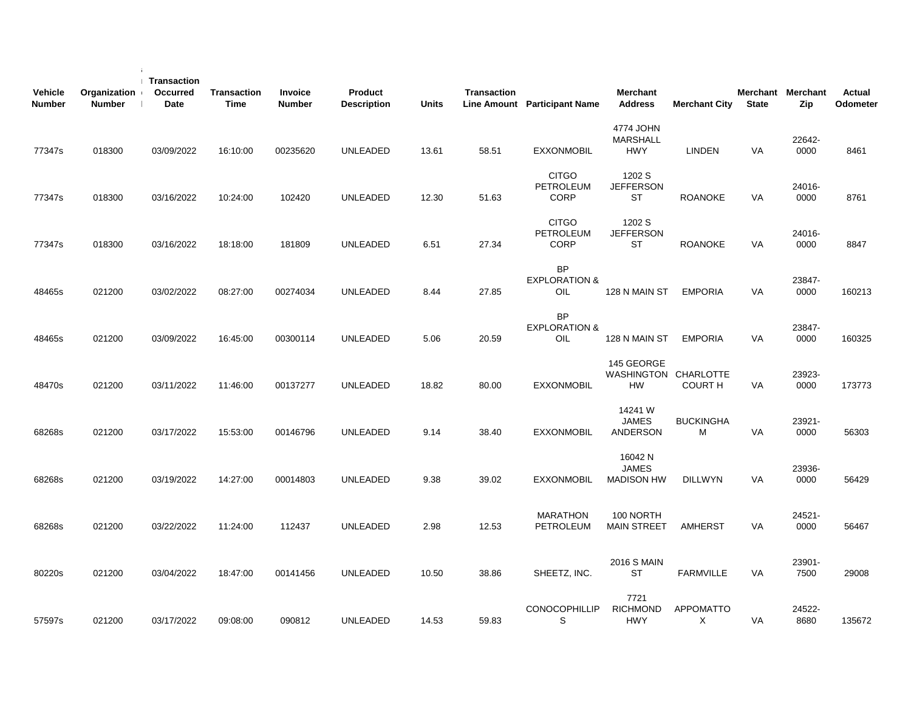| <b>Vehicle</b><br><b>Number</b> | Organization<br><b>Number</b> | <b>Transaction</b><br><b>Occurred</b><br>Date | Transaction<br>Time | Invoice<br><b>Number</b> | Product<br><b>Description</b> | <b>Units</b> | <b>Transaction</b> | Line Amount Participant Name                    | <b>Merchant</b><br><b>Address</b>               | <b>Merchant City</b>  | <b>State</b> | Merchant Merchant<br>Zip | Actual<br><b>Odometer</b> |
|---------------------------------|-------------------------------|-----------------------------------------------|---------------------|--------------------------|-------------------------------|--------------|--------------------|-------------------------------------------------|-------------------------------------------------|-----------------------|--------------|--------------------------|---------------------------|
| 77347s                          | 018300                        | 03/09/2022                                    | 16:10:00            | 00235620                 | UNLEADED                      | 13.61        | 58.51              | <b>EXXONMOBIL</b>                               | 4774 JOHN<br><b>MARSHALL</b><br><b>HWY</b>      | LINDEN                | VA           | 22642-<br>0000           | 8461                      |
| 77347s                          | 018300                        | 03/16/2022                                    | 10:24:00            | 102420                   | <b>UNLEADED</b>               | 12.30        | 51.63              | <b>CITGO</b><br><b>PETROLEUM</b><br><b>CORP</b> | 1202 S<br><b>JEFFERSON</b><br><b>ST</b>         | <b>ROANOKE</b>        | VA           | 24016-<br>0000           | 8761                      |
| 77347s                          | 018300                        | 03/16/2022                                    | 18:18:00            | 181809                   | <b>UNLEADED</b>               | 6.51         | 27.34              | <b>CITGO</b><br>PETROLEUM<br><b>CORP</b>        | 1202 S<br><b>JEFFERSON</b><br>ST                | <b>ROANOKE</b>        | VA           | 24016-<br>0000           | 8847                      |
| 48465s                          | 021200                        | 03/02/2022                                    | 08:27:00            | 00274034                 | <b>UNLEADED</b>               | 8.44         | 27.85              | <b>BP</b><br><b>EXPLORATION &amp;</b><br>OIL    | 128 N MAIN ST                                   | <b>EMPORIA</b>        | VA           | 23847-<br>0000           | 160213                    |
| 48465s                          | 021200                        | 03/09/2022                                    | 16:45:00            | 00300114                 | <b>UNLEADED</b>               | 5.06         | 20.59              | <b>BP</b><br><b>EXPLORATION &amp;</b><br>OIL    | 128 N MAIN ST                                   | <b>EMPORIA</b>        | <b>VA</b>    | 23847-<br>0000           | 160325                    |
| 48470s                          | 021200                        | 03/11/2022                                    | 11:46:00            | 00137277                 | <b>UNLEADED</b>               | 18.82        | 80.00              | <b>EXXONMOBIL</b>                               | 145 GEORGE<br>WASHINGTON CHARLOTTE<br><b>HW</b> | <b>COURT H</b>        | VA           | 23923-<br>0000           | 173773                    |
| 68268s                          | 021200                        | 03/17/2022                                    | 15:53:00            | 00146796                 | <b>UNLEADED</b>               | 9.14         | 38.40              | <b>EXXONMOBIL</b>                               | 14241 W<br><b>JAMES</b><br><b>ANDERSON</b>      | <b>BUCKINGHA</b><br>M | <b>VA</b>    | 23921-<br>0000           | 56303                     |
| 68268s                          | 021200                        | 03/19/2022                                    | 14:27:00            | 00014803                 | <b>UNLEADED</b>               | 9.38         | 39.02              | <b>EXXONMOBIL</b>                               | 16042 N<br><b>JAMES</b><br><b>MADISON HW</b>    | <b>DILLWYN</b>        | <b>VA</b>    | 23936-<br>0000           | 56429                     |
| 68268s                          | 021200                        | 03/22/2022                                    | 11:24:00            | 112437                   | <b>UNLEADED</b>               | 2.98         | 12.53              | <b>MARATHON</b><br>PETROLEUM                    | 100 NORTH<br><b>MAIN STREET</b>                 | AMHERST               | VA           | 24521-<br>0000           | 56467                     |
| 80220s                          | 021200                        | 03/04/2022                                    | 18:47:00            | 00141456                 | <b>UNLEADED</b>               | 10.50        | 38.86              | SHEETZ, INC.                                    | <b>2016 S MAIN</b><br><b>ST</b>                 | <b>FARMVILLE</b>      | VA           | 23901-<br>7500           | 29008                     |
| 57597s                          | 021200                        | 03/17/2022                                    | 09:08:00            | 090812                   | <b>UNLEADED</b>               | 14.53        | 59.83              | <b>CONOCOPHILLIP</b><br>S                       | 7721<br><b>RICHMOND</b><br><b>HWY</b>           | <b>APPOMATTO</b><br>X | VA           | 24522-<br>8680           | 135672                    |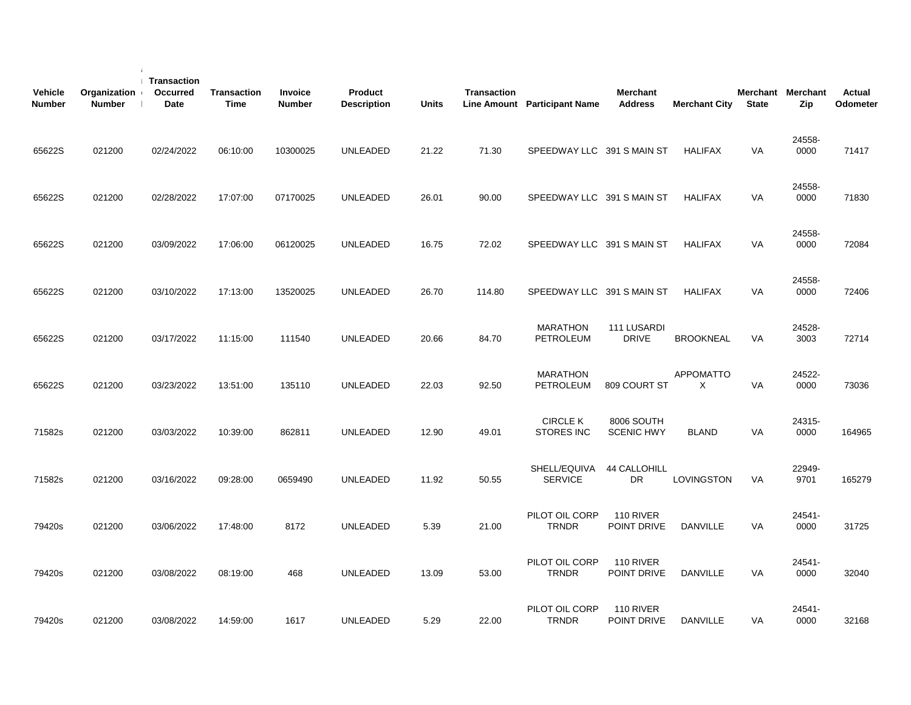| <b>Vehicle</b><br><b>Number</b> | Organization<br><b>Number</b> | Transaction<br><b>Occurred</b><br>Date | <b>Transaction</b><br>Time | Invoice<br><b>Number</b> | Product<br><b>Description</b> | <b>Units</b> | <b>Transaction</b> | Line Amount Participant Name         | <b>Merchant</b><br><b>Address</b>  | <b>Merchant City</b>  | <b>State</b> | Merchant Merchant<br>Zip | <b>Actual</b><br>Odometer |
|---------------------------------|-------------------------------|----------------------------------------|----------------------------|--------------------------|-------------------------------|--------------|--------------------|--------------------------------------|------------------------------------|-----------------------|--------------|--------------------------|---------------------------|
| 65622S                          | 021200                        | 02/24/2022                             | 06:10:00                   | 10300025                 | UNLEADED                      | 21.22        | 71.30              | SPEEDWAY LLC 391 S MAIN ST           |                                    | <b>HALIFAX</b>        | VA           | 24558-<br>0000           | 71417                     |
| 65622S                          | 021200                        | 02/28/2022                             | 17:07:00                   | 07170025                 | UNLEADED                      | 26.01        | 90.00              | SPEEDWAY LLC 391 S MAIN ST           |                                    | <b>HALIFAX</b>        | VA           | 24558-<br>0000           | 71830                     |
| 65622S                          | 021200                        | 03/09/2022                             | 17:06:00                   | 06120025                 | UNLEADED                      | 16.75        | 72.02              | SPEEDWAY LLC 391 S MAIN ST           |                                    | <b>HALIFAX</b>        | VA           | 24558-<br>0000           | 72084                     |
| 65622S                          | 021200                        | 03/10/2022                             | 17:13:00                   | 13520025                 | UNLEADED                      | 26.70        | 114.80             | SPEEDWAY LLC 391 S MAIN ST           |                                    | <b>HALIFAX</b>        | VA           | 24558-<br>0000           | 72406                     |
| 65622S                          | 021200                        | 03/17/2022                             | 11:15:00                   | 111540                   | UNLEADED                      | 20.66        | 84.70              | <b>MARATHON</b><br>PETROLEUM         | <b>111 LUSARDI</b><br><b>DRIVE</b> | <b>BROOKNEAL</b>      | VA           | 24528-<br>3003           | 72714                     |
| 65622S                          | 021200                        | 03/23/2022                             | 13:51:00                   | 135110                   | UNLEADED                      | 22.03        | 92.50              | <b>MARATHON</b><br>PETROLEUM         | 809 COURT ST                       | <b>APPOMATTO</b><br>X | VA           | 24522-<br>0000           | 73036                     |
| 71582s                          | 021200                        | 03/03/2022                             | 10:39:00                   | 862811                   | UNLEADED                      | 12.90        | 49.01              | <b>CIRCLE K</b><br><b>STORES INC</b> | 8006 SOUTH<br><b>SCENIC HWY</b>    | <b>BLAND</b>          | <b>VA</b>    | 24315-<br>0000           | 164965                    |
| 71582s                          | 021200                        | 03/16/2022                             | 09:28:00                   | 0659490                  | UNLEADED                      | 11.92        | 50.55              | SHELL/EQUIVA<br><b>SERVICE</b>       | <b>44 CALLOHILL</b><br><b>DR</b>   | LOVINGSTON            | <b>VA</b>    | 22949-<br>9701           | 165279                    |
| 79420s                          | 021200                        | 03/06/2022                             | 17:48:00                   | 8172                     | UNLEADED                      | 5.39         | 21.00              | PILOT OIL CORP<br><b>TRNDR</b>       | 110 RIVER<br>POINT DRIVE           | <b>DANVILLE</b>       | <b>VA</b>    | 24541-<br>0000           | 31725                     |
| 79420s                          | 021200                        | 03/08/2022                             | 08:19:00                   | 468                      | UNLEADED                      | 13.09        | 53.00              | PILOT OIL CORP<br><b>TRNDR</b>       | 110 RIVER<br>POINT DRIVE           | <b>DANVILLE</b>       | <b>VA</b>    | 24541-<br>0000           | 32040                     |
| 79420s                          | 021200                        | 03/08/2022                             | 14:59:00                   | 1617                     | UNLEADED                      | 5.29         | 22.00              | PILOT OIL CORP<br><b>TRNDR</b>       | 110 RIVER<br>POINT DRIVE           | <b>DANVILLE</b>       | <b>VA</b>    | 24541-<br>0000           | 32168                     |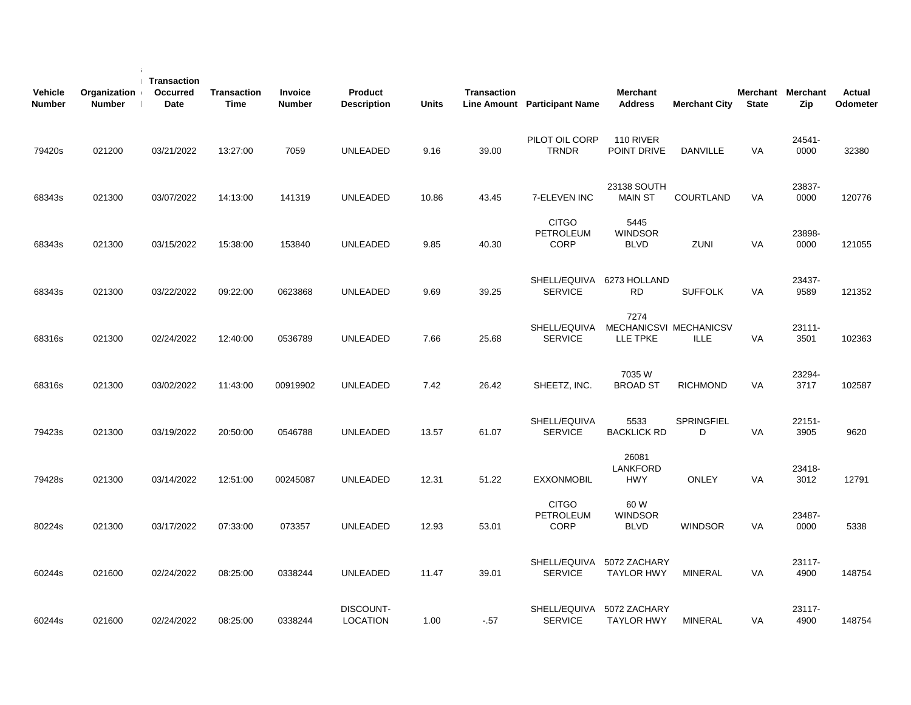| <b>Vehicle</b><br><b>Number</b> | Organization<br><b>Number</b> | Transaction<br>Occurred<br>Date | <b>Transaction</b><br><b>Time</b> | Invoice<br><b>Number</b> | <b>Product</b><br><b>Description</b> | <b>Units</b> | <b>Transaction</b> | Line Amount Participant Name                    | <b>Merchant</b><br><b>Address</b>          | <b>Merchant City</b>   | <b>State</b> | Merchant Merchant<br>Zip | <b>Actual</b><br>Odometer |
|---------------------------------|-------------------------------|---------------------------------|-----------------------------------|--------------------------|--------------------------------------|--------------|--------------------|-------------------------------------------------|--------------------------------------------|------------------------|--------------|--------------------------|---------------------------|
| 79420s                          | 021200                        | 03/21/2022                      | 13:27:00                          | 7059                     | <b>UNLEADED</b>                      | 9.16         | 39.00              | PILOT OIL CORP<br><b>TRNDR</b>                  | 110 RIVER<br>POINT DRIVE                   | DANVILLE               | <b>VA</b>    | 24541-<br>0000           | 32380                     |
| 68343s                          | 021300                        | 03/07/2022                      | 14:13:00                          | 141319                   | <b>UNLEADED</b>                      | 10.86        | 43.45              | 7-ELEVEN INC                                    | 23138 SOUTH<br><b>MAIN ST</b>              | COURTLAND              | VA           | 23837-<br>0000           | 120776                    |
| 68343s                          | 021300                        | 03/15/2022                      | 15:38:00                          | 153840                   | <b>UNLEADED</b>                      | 9.85         | 40.30              | <b>CITGO</b><br><b>PETROLEUM</b><br><b>CORP</b> | 5445<br><b>WINDSOR</b><br><b>BLVD</b>      | ZUNI                   | VA           | 23898-<br>0000           | 121055                    |
| 68343s                          | 021300                        | 03/22/2022                      | 09:22:00                          | 0623868                  | <b>UNLEADED</b>                      | 9.69         | 39.25              | SHELL/EQUIVA 6273 HOLLAND<br><b>SERVICE</b>     | <b>RD</b>                                  | <b>SUFFOLK</b>         | <b>VA</b>    | 23437-<br>9589           | 121352                    |
| 68316s                          | 021300                        | 02/24/2022                      | 12:40:00                          | 0536789                  | <b>UNLEADED</b>                      | 7.66         | 25.68              | SHELL/EQUIVA<br><b>SERVICE</b>                  | 7274<br>MECHANICSVI MECHANICSV<br>LLE TPKE | <b>ILLE</b>            | VA           | 23111-<br>3501           | 102363                    |
| 68316s                          | 021300                        | 03/02/2022                      | 11:43:00                          | 00919902                 | <b>UNLEADED</b>                      | 7.42         | 26.42              | SHEETZ, INC.                                    | 7035 W<br><b>BROAD ST</b>                  | <b>RICHMOND</b>        | <b>VA</b>    | 23294-<br>3717           | 102587                    |
| 79423s                          | 021300                        | 03/19/2022                      | 20:50:00                          | 0546788                  | UNLEADED                             | 13.57        | 61.07              | SHELL/EQUIVA<br><b>SERVICE</b>                  | 5533<br><b>BACKLICK RD</b>                 | <b>SPRINGFIEL</b><br>D | VA           | 22151-<br>3905           | 9620                      |
| 79428s                          | 021300                        | 03/14/2022                      | 12:51:00                          | 00245087                 | <b>UNLEADED</b>                      | 12.31        | 51.22              | <b>EXXONMOBIL</b>                               | 26081<br><b>LANKFORD</b><br><b>HWY</b>     | <b>ONLEY</b>           | <b>VA</b>    | 23418-<br>3012           | 12791                     |
| 80224s                          | 021300                        | 03/17/2022                      | 07:33:00                          | 073357                   | <b>UNLEADED</b>                      | 12.93        | 53.01              | <b>CITGO</b><br><b>PETROLEUM</b><br><b>CORP</b> | 60 W<br><b>WINDSOR</b><br><b>BLVD</b>      | <b>WINDSOR</b>         | VA           | 23487-<br>0000           | 5338                      |
| 60244s                          | 021600                        | 02/24/2022                      | 08:25:00                          | 0338244                  | <b>UNLEADED</b>                      | 11.47        | 39.01              | SHELL/EQUIVA<br><b>SERVICE</b>                  | 5072 ZACHARY<br><b>TAYLOR HWY</b>          | <b>MINERAL</b>         | <b>VA</b>    | 23117-<br>4900           | 148754                    |
| 60244s                          | 021600                        | 02/24/2022                      | 08:25:00                          | 0338244                  | DISCOUNT-<br><b>LOCATION</b>         | 1.00         | $-57$              | SHELL/EQUIVA<br><b>SERVICE</b>                  | 5072 ZACHARY<br><b>TAYLOR HWY</b>          | <b>MINERAL</b>         | VA           | 23117-<br>4900           | 148754                    |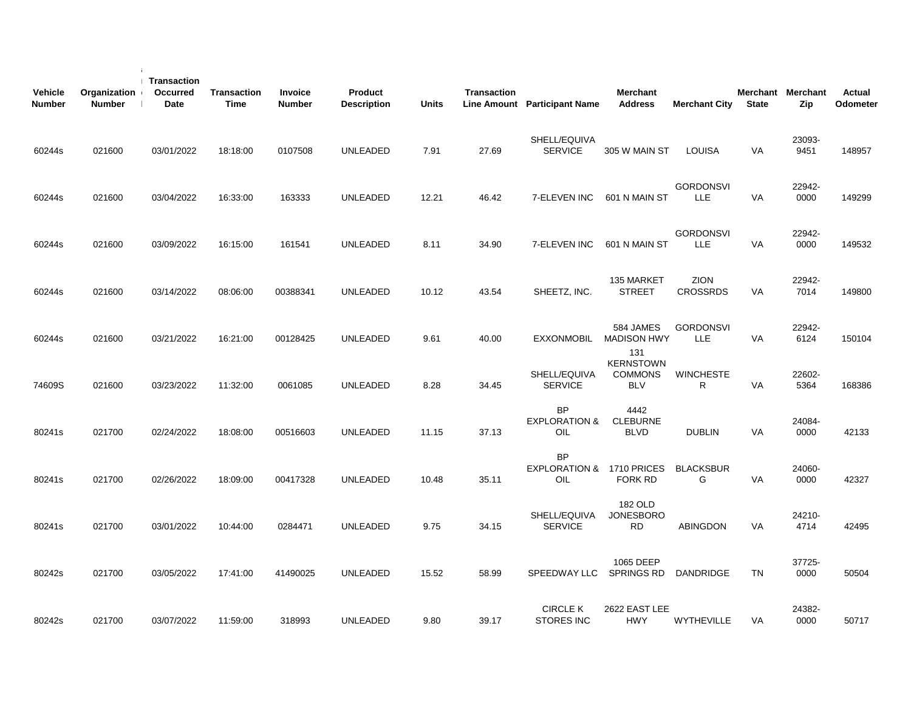| <b>Vehicle</b><br><b>Number</b> | Organization<br><b>Number</b> | Transaction<br>Occurred<br>Date | <b>Transaction</b><br><b>Time</b> | Invoice<br><b>Number</b> | Product<br><b>Description</b> | <b>Units</b> | <b>Transaction</b> | Line Amount Participant Name                  | <b>Merchant</b><br><b>Address</b>                | <b>Merchant City</b>           | <b>State</b> | Merchant Merchant<br>Zip | <b>Actual</b><br>Odometer |
|---------------------------------|-------------------------------|---------------------------------|-----------------------------------|--------------------------|-------------------------------|--------------|--------------------|-----------------------------------------------|--------------------------------------------------|--------------------------------|--------------|--------------------------|---------------------------|
| 60244s                          | 021600                        | 03/01/2022                      | 18:18:00                          | 0107508                  | <b>UNLEADED</b>               | 7.91         | 27.69              | SHELL/EQUIVA<br><b>SERVICE</b>                | 305 W MAIN ST                                    | <b>LOUISA</b>                  | <b>VA</b>    | 23093-<br>9451           | 148957                    |
| 60244s                          | 021600                        | 03/04/2022                      | 16:33:00                          | 163333                   | <b>UNLEADED</b>               | 12.21        | 46.42              | 7-ELEVEN INC                                  | 601 N MAIN ST                                    | <b>GORDONSVI</b><br><b>LLE</b> | VA           | 22942-<br>0000           | 149299                    |
| 60244s                          | 021600                        | 03/09/2022                      | 16:15:00                          | 161541                   | <b>UNLEADED</b>               | 8.11         | 34.90              | 7-ELEVEN INC                                  | 601 N MAIN ST                                    | <b>GORDONSVI</b><br>LLE        | VA           | 22942-<br>0000           | 149532                    |
| 60244s                          | 021600                        | 03/14/2022                      | 08:06:00                          | 00388341                 | <b>UNLEADED</b>               | 10.12        | 43.54              | SHEETZ, INC.                                  | 135 MARKET<br><b>STREET</b>                      | <b>ZION</b><br><b>CROSSRDS</b> | VA           | 22942-<br>7014           | 149800                    |
| 60244s                          | 021600                        | 03/21/2022                      | 16:21:00                          | 00128425                 | UNLEADED                      | 9.61         | 40.00              | <b>EXXONMOBIL</b>                             | 584 JAMES<br><b>MADISON HWY</b><br>131           | <b>GORDONSVI</b><br>LLE        | VA           | 22942-<br>6124           | 150104                    |
| 74609S                          | 021600                        | 03/23/2022                      | 11:32:00                          | 0061085                  | <b>UNLEADED</b>               | 8.28         | 34.45              | SHELL/EQUIVA<br><b>SERVICE</b>                | <b>KERNSTOWN</b><br><b>COMMONS</b><br><b>BLV</b> | <b>WINCHESTE</b><br>R          | <b>VA</b>    | 22602-<br>5364           | 168386                    |
| 80241s                          | 021700                        | 02/24/2022                      | 18:08:00                          | 00516603                 | <b>UNLEADED</b>               | 11.15        | 37.13              | <b>BP</b><br><b>EXPLORATION &amp;</b><br>OIL  | 4442<br><b>CLEBURNE</b><br><b>BLVD</b>           | <b>DUBLIN</b>                  | <b>VA</b>    | 24084-<br>0000           | 42133                     |
| 80241s                          | 021700                        | 02/26/2022                      | 18:09:00                          | 00417328                 | <b>UNLEADED</b>               | 10.48        | 35.11              | <b>BP</b><br>EXPLORATION & 1710 PRICES<br>OIL | <b>FORK RD</b>                                   | <b>BLACKSBUR</b><br>G          | VA           | 24060-<br>0000           | 42327                     |
| 80241s                          | 021700                        | 03/01/2022                      | 10:44:00                          | 0284471                  | <b>UNLEADED</b>               | 9.75         | 34.15              | SHELL/EQUIVA<br><b>SERVICE</b>                | 182 OLD<br><b>JONESBORO</b><br><b>RD</b>         | <b>ABINGDON</b>                | VA           | 24210-<br>4714           | 42495                     |
| 80242s                          | 021700                        | 03/05/2022                      | 17:41:00                          | 41490025                 | <b>UNLEADED</b>               | 15.52        | 58.99              | SPEEDWAY LLC                                  | 1065 DEEP<br><b>SPRINGS RD</b>                   | DANDRIDGE                      | <b>TN</b>    | 37725-<br>0000           | 50504                     |
| 80242s                          | 021700                        | 03/07/2022                      | 11:59:00                          | 318993                   | <b>UNLEADED</b>               | 9.80         | 39.17              | <b>CIRCLE K</b><br><b>STORES INC</b>          | 2622 EAST LEE<br><b>HWY</b>                      | WYTHEVILLE                     | VA           | 24382-<br>0000           | 50717                     |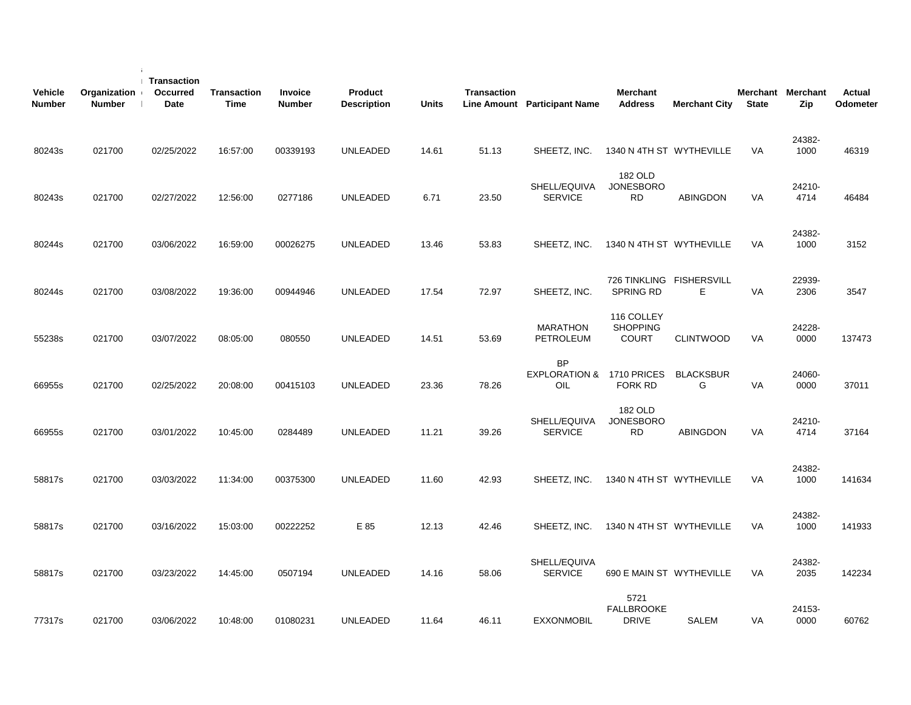| <b>Vehicle</b><br><b>Number</b> | Organization<br><b>Number</b> | Transaction<br>Occurred<br><b>Date</b> | <b>Transaction</b><br><b>Time</b> | Invoice<br><b>Number</b> | Product<br><b>Description</b> | <b>Units</b> | <b>Transaction</b> | Line Amount Participant Name                 | Merchant<br><b>Address</b>                    | <b>Merchant City</b>          | <b>State</b> | Merchant Merchant<br>Zip | <b>Actual</b><br>Odometer |
|---------------------------------|-------------------------------|----------------------------------------|-----------------------------------|--------------------------|-------------------------------|--------------|--------------------|----------------------------------------------|-----------------------------------------------|-------------------------------|--------------|--------------------------|---------------------------|
| 80243s                          | 021700                        | 02/25/2022                             | 16:57:00                          | 00339193                 | <b>UNLEADED</b>               | 14.61        | 51.13              | SHEETZ, INC.                                 | 1340 N 4TH ST WYTHEVILLE                      |                               | <b>VA</b>    | 24382-<br>1000           | 46319                     |
| 80243s                          | 021700                        | 02/27/2022                             | 12:56:00                          | 0277186                  | <b>UNLEADED</b>               | 6.71         | 23.50              | SHELL/EQUIVA<br><b>SERVICE</b>               | 182 OLD<br><b>JONESBORO</b><br><b>RD</b>      | <b>ABINGDON</b>               | VA           | 24210-<br>4714           | 46484                     |
| 80244s                          | 021700                        | 03/06/2022                             | 16:59:00                          | 00026275                 | <b>UNLEADED</b>               | 13.46        | 53.83              | SHEETZ, INC.                                 | 1340 N 4TH ST WYTHEVILLE                      |                               | VA           | 24382-<br>1000           | 3152                      |
| 80244s                          | 021700                        | 03/08/2022                             | 19:36:00                          | 00944946                 | <b>UNLEADED</b>               | 17.54        | 72.97              | SHEETZ, INC.                                 | <b>SPRING RD</b>                              | 726 TINKLING FISHERSVILL<br>Е | VA           | 22939-<br>2306           | 3547                      |
| 55238s                          | 021700                        | 03/07/2022                             | 08:05:00                          | 080550                   | UNLEADED                      | 14.51        | 53.69              | <b>MARATHON</b><br>PETROLEUM                 | 116 COLLEY<br><b>SHOPPING</b><br><b>COURT</b> | <b>CLINTWOOD</b>              | VA           | 24228-<br>0000           | 137473                    |
| 66955s                          | 021700                        | 02/25/2022                             | 20:08:00                          | 00415103                 | <b>UNLEADED</b>               | 23.36        | 78.26              | <b>BP</b><br><b>EXPLORATION &amp;</b><br>OIL | 1710 PRICES<br><b>FORK RD</b>                 | <b>BLACKSBUR</b><br>G         | <b>VA</b>    | 24060-<br>0000           | 37011                     |
| 66955s                          | 021700                        | 03/01/2022                             | 10:45:00                          | 0284489                  | <b>UNLEADED</b>               | 11.21        | 39.26              | SHELL/EQUIVA<br><b>SERVICE</b>               | 182 OLD<br><b>JONESBORO</b><br><b>RD</b>      | <b>ABINGDON</b>               | VA           | 24210-<br>4714           | 37164                     |
| 58817s                          | 021700                        | 03/03/2022                             | 11:34:00                          | 00375300                 | UNLEADED                      | 11.60        | 42.93              | SHEETZ, INC.                                 | 1340 N 4TH ST WYTHEVILLE                      |                               | <b>VA</b>    | 24382-<br>1000           | 141634                    |
| 58817s                          | 021700                        | 03/16/2022                             | 15:03:00                          | 00222252                 | E 85                          | 12.13        | 42.46              | SHEETZ, INC.                                 | 1340 N 4TH ST WYTHEVILLE                      |                               | VA           | 24382-<br>1000           | 141933                    |
| 58817s                          | 021700                        | 03/23/2022                             | 14:45:00                          | 0507194                  | <b>UNLEADED</b>               | 14.16        | 58.06              | SHELL/EQUIVA<br><b>SERVICE</b>               | 690 E MAIN ST WYTHEVILLE                      |                               | VA           | 24382-<br>2035           | 142234                    |
| 77317s                          | 021700                        | 03/06/2022                             | 10:48:00                          | 01080231                 | <b>UNLEADED</b>               | 11.64        | 46.11              | <b>EXXONMOBIL</b>                            | 5721<br><b>FALLBROOKE</b><br><b>DRIVE</b>     | SALEM                         | VA           | 24153-<br>0000           | 60762                     |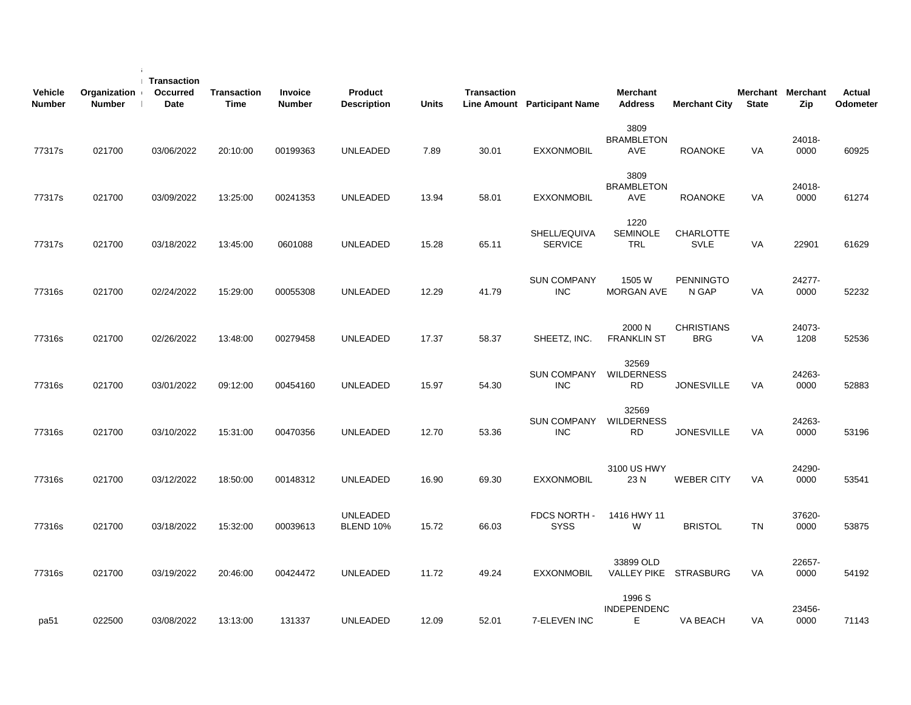| <b>Vehicle</b><br><b>Number</b> | Organization<br><b>Number</b> | <b>Transaction</b><br>Occurred<br>Date | Transaction<br>Time | <b>Invoice</b><br><b>Number</b> | Product<br><b>Description</b> | <b>Units</b> | <b>Transaction</b> | Line Amount Participant Name     | <b>Merchant</b><br><b>Address</b>       | <b>Merchant City</b>            | <b>State</b> | Merchant Merchant<br>Zip | Actual<br>Odometer |
|---------------------------------|-------------------------------|----------------------------------------|---------------------|---------------------------------|-------------------------------|--------------|--------------------|----------------------------------|-----------------------------------------|---------------------------------|--------------|--------------------------|--------------------|
| 77317s                          | 021700                        | 03/06/2022                             | 20:10:00            | 00199363                        | <b>UNLEADED</b>               | 7.89         | 30.01              | <b>EXXONMOBIL</b>                | 3809<br><b>BRAMBLETON</b><br><b>AVE</b> | <b>ROANOKE</b>                  | VA           | 24018-<br>0000           | 60925              |
| 77317s                          | 021700                        | 03/09/2022                             | 13:25:00            | 00241353                        | <b>UNLEADED</b>               | 13.94        | 58.01              | <b>EXXONMOBIL</b>                | 3809<br><b>BRAMBLETON</b><br>AVE        | <b>ROANOKE</b>                  | VA           | 24018-<br>0000           | 61274              |
| 77317s                          | 021700                        | 03/18/2022                             | 13:45:00            | 0601088                         | <b>UNLEADED</b>               | 15.28        | 65.11              | SHELL/EQUIVA<br><b>SERVICE</b>   | 1220<br><b>SEMINOLE</b><br>TRL          | <b>CHARLOTTE</b><br><b>SVLE</b> | VA           | 22901                    | 61629              |
| 77316s                          | 021700                        | 02/24/2022                             | 15:29:00            | 00055308                        | <b>UNLEADED</b>               | 12.29        | 41.79              | <b>SUN COMPANY</b><br><b>INC</b> | 1505 W<br><b>MORGAN AVE</b>             | <b>PENNINGTO</b><br>N GAP       | VA           | 24277-<br>0000           | 52232              |
| 77316s                          | 021700                        | 02/26/2022                             | 13:48:00            | 00279458                        | UNLEADED                      | 17.37        | 58.37              | SHEETZ, INC.                     | 2000 N<br><b>FRANKLIN ST</b>            | <b>CHRISTIANS</b><br><b>BRG</b> | VA           | 24073-<br>1208           | 52536              |
| 77316s                          | 021700                        | 03/01/2022                             | 09:12:00            | 00454160                        | UNLEADED                      | 15.97        | 54.30              | <b>SUN COMPANY</b><br><b>INC</b> | 32569<br><b>WILDERNESS</b><br><b>RD</b> | <b>JONESVILLE</b>               | VA           | 24263-<br>0000           | 52883              |
| 77316s                          | 021700                        | 03/10/2022                             | 15:31:00            | 00470356                        | <b>UNLEADED</b>               | 12.70        | 53.36              | <b>SUN COMPANY</b><br><b>INC</b> | 32569<br><b>WILDERNESS</b><br><b>RD</b> | <b>JONESVILLE</b>               | VA           | 24263-<br>0000           | 53196              |
| 77316s                          | 021700                        | 03/12/2022                             | 18:50:00            | 00148312                        | <b>UNLEADED</b>               | 16.90        | 69.30              | <b>EXXONMOBIL</b>                | 3100 US HWY<br>23N                      | <b>WEBER CITY</b>               | VA           | 24290-<br>0000           | 53541              |
| 77316s                          | 021700                        | 03/18/2022                             | 15:32:00            | 00039613                        | UNLEADED<br>BLEND 10%         | 15.72        | 66.03              | FDCS NORTH -<br><b>SYSS</b>      | 1416 HWY 11<br>W                        | <b>BRISTOL</b>                  | TN           | 37620-<br>0000           | 53875              |
| 77316s                          | 021700                        | 03/19/2022                             | 20:46:00            | 00424472                        | <b>UNLEADED</b>               | 11.72        | 49.24              | <b>EXXONMOBIL</b>                | 33899 OLD<br>VALLEY PIKE STRASBURG      |                                 | VA           | 22657-<br>0000           | 54192              |
| pa51                            | 022500                        | 03/08/2022                             | 13:13:00            | 131337                          | UNLEADED                      | 12.09        | 52.01              | 7-ELEVEN INC                     | 1996 S<br><b>INDEPENDENC</b><br>Е       | VA BEACH                        | VA           | 23456-<br>0000           | 71143              |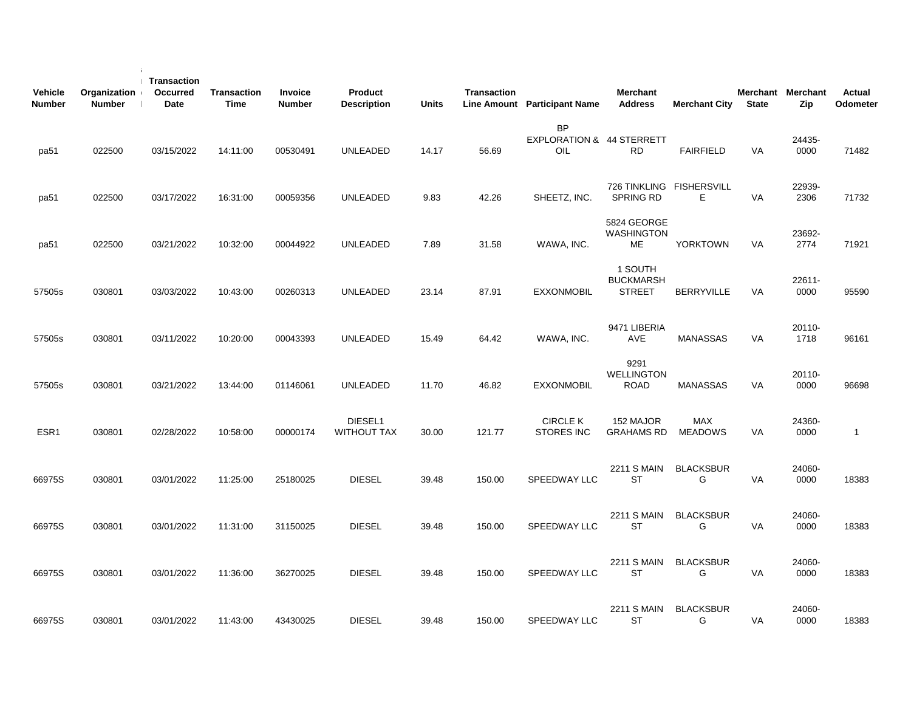| <b>Vehicle</b><br><b>Number</b> | Organization<br><b>Number</b> | Transaction<br>Occurred<br><b>Date</b> | <b>Transaction</b><br><b>Time</b> | <b>Invoice</b><br><b>Number</b> | Product<br><b>Description</b> | <b>Units</b> | Transaction | Line Amount Participant Name                  | <b>Merchant</b><br><b>Address</b>            | <b>Merchant City</b>         | <b>State</b> | Merchant Merchant<br>Zip | <b>Actual</b><br>Odometer |
|---------------------------------|-------------------------------|----------------------------------------|-----------------------------------|---------------------------------|-------------------------------|--------------|-------------|-----------------------------------------------|----------------------------------------------|------------------------------|--------------|--------------------------|---------------------------|
| pa51                            | 022500                        | 03/15/2022                             | 14:11:00                          | 00530491                        | <b>UNLEADED</b>               | 14.17        | 56.69       | <b>BP</b><br>EXPLORATION & 44 STERRETT<br>OIL | <b>RD</b>                                    | <b>FAIRFIELD</b>             | <b>VA</b>    | 24435-<br>0000           | 71482                     |
| pa51                            | 022500                        | 03/17/2022                             | 16:31:00                          | 00059356                        | <b>UNLEADED</b>               | 9.83         | 42.26       | SHEETZ, INC.                                  | 726 TINKLING FISHERSVILL<br><b>SPRING RD</b> | Е.                           | VA           | 22939-<br>2306           | 71732                     |
| pa51                            | 022500                        | 03/21/2022                             | 10:32:00                          | 00044922                        | <b>UNLEADED</b>               | 7.89         | 31.58       | WAWA, INC.                                    | 5824 GEORGE<br><b>WASHINGTON</b><br>МE       | YORKTOWN                     | VA           | 23692-<br>2774           | 71921                     |
| 57505s                          | 030801                        | 03/03/2022                             | 10:43:00                          | 00260313                        | <b>UNLEADED</b>               | 23.14        | 87.91       | <b>EXXONMOBIL</b>                             | 1 SOUTH<br><b>BUCKMARSH</b><br><b>STREET</b> | <b>BERRYVILLE</b>            | VA           | 22611-<br>0000           | 95590                     |
| 57505s                          | 030801                        | 03/11/2022                             | 10:20:00                          | 00043393                        | <b>UNLEADED</b>               | 15.49        | 64.42       | WAWA, INC.                                    | 9471 LIBERIA<br>AVE                          | <b>MANASSAS</b>              | VA           | 20110-<br>1718           | 96161                     |
| 57505s                          | 030801                        | 03/21/2022                             | 13:44:00                          | 01146061                        | <b>UNLEADED</b>               | 11.70        | 46.82       | <b>EXXONMOBIL</b>                             | 9291<br><b>WELLINGTON</b><br><b>ROAD</b>     | <b>MANASSAS</b>              | <b>VA</b>    | 20110-<br>0000           | 96698                     |
| ESR <sub>1</sub>                | 030801                        | 02/28/2022                             | 10:58:00                          | 00000174                        | DIESEL1<br>WITHOUT TAX        | 30.00        | 121.77      | <b>CIRCLE K</b><br><b>STORES INC</b>          | 152 MAJOR<br><b>GRAHAMS RD</b>               | <b>MAX</b><br><b>MEADOWS</b> | <b>VA</b>    | 24360-<br>0000           | $\overline{1}$            |
| 66975S                          | 030801                        | 03/01/2022                             | 11:25:00                          | 25180025                        | <b>DIESEL</b>                 | 39.48        | 150.00      | SPEEDWAY LLC                                  | 2211 S MAIN<br><b>ST</b>                     | <b>BLACKSBUR</b><br>G        | VA           | 24060-<br>0000           | 18383                     |
| 66975S                          | 030801                        | 03/01/2022                             | 11:31:00                          | 31150025                        | <b>DIESEL</b>                 | 39.48        | 150.00      | SPEEDWAY LLC                                  | 2211 S MAIN<br>ST                            | <b>BLACKSBUR</b><br>G        | VA           | 24060-<br>0000           | 18383                     |
| 66975S                          | 030801                        | 03/01/2022                             | 11:36:00                          | 36270025                        | <b>DIESEL</b>                 | 39.48        | 150.00      | SPEEDWAY LLC                                  | <b>2211 S MAIN</b><br><b>ST</b>              | <b>BLACKSBUR</b><br>G        | VA           | 24060-<br>0000           | 18383                     |
| 66975S                          | 030801                        | 03/01/2022                             | 11:43:00                          | 43430025                        | <b>DIESEL</b>                 | 39.48        | 150.00      | SPEEDWAY LLC                                  | <b>2211 S MAIN</b><br><b>ST</b>              | <b>BLACKSBUR</b><br>G        | VA           | 24060-<br>0000           | 18383                     |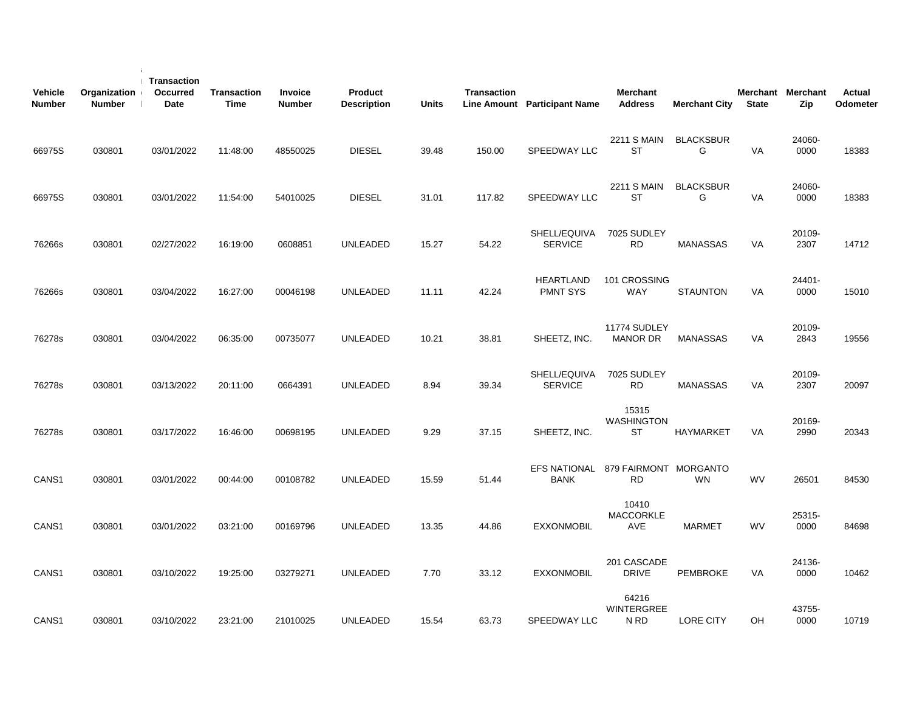| <b>Vehicle</b><br><b>Number</b> | Organization<br><b>Number</b> | <b>Transaction</b><br><b>Occurred</b><br><b>Date</b> | <b>Transaction</b><br><b>Time</b> | <b>Invoice</b><br>Number | Product<br><b>Description</b> | <b>Units</b> | <b>Transaction</b> | <b>Line Amount</b> Participant Name | <b>Merchant</b><br><b>Address</b>  | <b>Merchant City</b>  | <b>State</b> | Merchant Merchant<br>Zip | Actual<br>Odometer |
|---------------------------------|-------------------------------|------------------------------------------------------|-----------------------------------|--------------------------|-------------------------------|--------------|--------------------|-------------------------------------|------------------------------------|-----------------------|--------------|--------------------------|--------------------|
| 66975S                          | 030801                        | 03/01/2022                                           | 11:48:00                          | 48550025                 | <b>DIESEL</b>                 | 39.48        | 150.00             | SPEEDWAY LLC                        | <b>2211 S MAIN</b><br><b>ST</b>    | <b>BLACKSBUR</b><br>G | <b>VA</b>    | 24060-<br>0000           | 18383              |
| 66975S                          | 030801                        | 03/01/2022                                           | 11:54:00                          | 54010025                 | <b>DIESEL</b>                 | 31.01        | 117.82             | SPEEDWAY LLC                        | 2211 S MAIN<br>ST                  | <b>BLACKSBUR</b><br>G | VA           | 24060-<br>0000           | 18383              |
| 76266s                          | 030801                        | 02/27/2022                                           | 16:19:00                          | 0608851                  | <b>UNLEADED</b>               | 15.27        | 54.22              | SHELL/EQUIVA<br><b>SERVICE</b>      | 7025 SUDLEY<br><b>RD</b>           | <b>MANASSAS</b>       | VA           | 20109-<br>2307           | 14712              |
| 76266s                          | 030801                        | 03/04/2022                                           | 16:27:00                          | 00046198                 | <b>UNLEADED</b>               | 11.11        | 42.24              | <b>HEARTLAND</b><br><b>PMNT SYS</b> | 101 CROSSING<br><b>WAY</b>         | <b>STAUNTON</b>       | VA           | 24401-<br>0000           | 15010              |
| 76278s                          | 030801                        | 03/04/2022                                           | 06:35:00                          | 00735077                 | UNLEADED                      | 10.21        | 38.81              | SHEETZ, INC.                        | 11774 SUDLEY<br><b>MANOR DR</b>    | <b>MANASSAS</b>       | VA           | 20109-<br>2843           | 19556              |
| 76278s                          | 030801                        | 03/13/2022                                           | 20:11:00                          | 0664391                  | <b>UNLEADED</b>               | 8.94         | 39.34              | SHELL/EQUIVA<br><b>SERVICE</b>      | 7025 SUDLEY<br><b>RD</b>           | <b>MANASSAS</b>       | <b>VA</b>    | 20109-<br>2307           | 20097              |
| 76278s                          | 030801                        | 03/17/2022                                           | 16:46:00                          | 00698195                 | <b>UNLEADED</b>               | 9.29         | 37.15              | SHEETZ, INC.                        | 15315<br>WASHINGTON<br>ST          | <b>HAYMARKET</b>      | VA           | 20169-<br>2990           | 20343              |
| CANS <sub>1</sub>               | 030801                        | 03/01/2022                                           | 00:44:00                          | 00108782                 | <b>UNLEADED</b>               | 15.59        | 51.44              | <b>EFS NATIONAL</b><br><b>BANK</b>  | 879 FAIRMONT MORGANTO<br>RD.       | <b>WN</b>             | <b>WV</b>    | 26501                    | 84530              |
| CANS <sub>1</sub>               | 030801                        | 03/01/2022                                           | 03:21:00                          | 00169796                 | <b>UNLEADED</b>               | 13.35        | 44.86              | <b>EXXONMOBIL</b>                   | 10410<br><b>MACCORKLE</b><br>AVE   | <b>MARMET</b>         | <b>WV</b>    | 25315-<br>0000           | 84698              |
| CANS1                           | 030801                        | 03/10/2022                                           | 19:25:00                          | 03279271                 | UNLEADED                      | 7.70         | 33.12              | <b>EXXONMOBIL</b>                   | 201 CASCADE<br><b>DRIVE</b>        | <b>PEMBROKE</b>       | VA           | 24136-<br>0000           | 10462              |
| CANS <sub>1</sub>               | 030801                        | 03/10/2022                                           | 23:21:00                          | 21010025                 | <b>UNLEADED</b>               | 15.54        | 63.73              | SPEEDWAY LLC                        | 64216<br><b>WINTERGREE</b><br>N RD | <b>LORE CITY</b>      | OH           | 43755-<br>0000           | 10719              |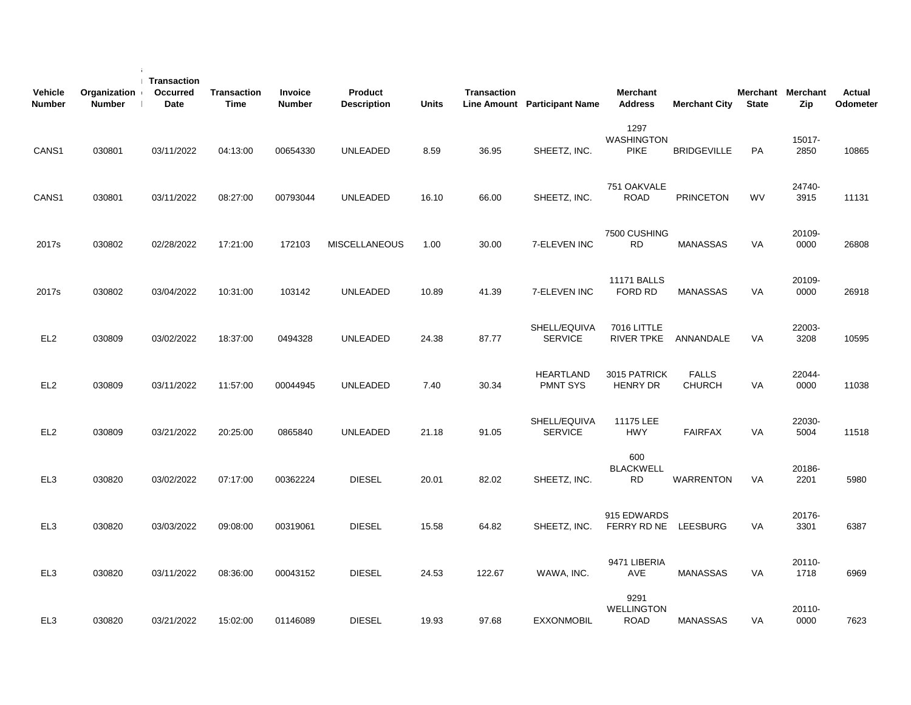| <b>Vehicle</b><br><b>Number</b> | Organization<br><b>Number</b> | Transaction<br>Occurred<br>Date | <b>Transaction</b><br>Time | Invoice<br><b>Number</b> | Product<br><b>Description</b> | <b>Units</b> | <b>Transaction</b> | Line Amount Participant Name        | <b>Merchant</b><br><b>Address</b>        | <b>Merchant City</b>          | <b>State</b> | Merchant Merchant<br>Zip | <b>Actual</b><br>Odometer |
|---------------------------------|-------------------------------|---------------------------------|----------------------------|--------------------------|-------------------------------|--------------|--------------------|-------------------------------------|------------------------------------------|-------------------------------|--------------|--------------------------|---------------------------|
| CANS1                           | 030801                        | 03/11/2022                      | 04:13:00                   | 00654330                 | <b>UNLEADED</b>               | 8.59         | 36.95              | SHEETZ, INC.                        | 1297<br><b>WASHINGTON</b><br><b>PIKE</b> | <b>BRIDGEVILLE</b>            | PA           | 15017-<br>2850           | 10865                     |
| CANS1                           | 030801                        | 03/11/2022                      | 08:27:00                   | 00793044                 | <b>UNLEADED</b>               | 16.10        | 66.00              | SHEETZ, INC.                        | 751 OAKVALE<br><b>ROAD</b>               | <b>PRINCETON</b>              | <b>WV</b>    | 24740-<br>3915           | 11131                     |
| 2017s                           | 030802                        | 02/28/2022                      | 17:21:00                   | 172103                   | <b>MISCELLANEOUS</b>          | 1.00         | 30.00              | 7-ELEVEN INC                        | 7500 CUSHING<br><b>RD</b>                | <b>MANASSAS</b>               | VA           | 20109-<br>0000           | 26808                     |
| 2017s                           | 030802                        | 03/04/2022                      | 10:31:00                   | 103142                   | <b>UNLEADED</b>               | 10.89        | 41.39              | 7-ELEVEN INC                        | <b>11171 BALLS</b><br>FORD RD            | <b>MANASSAS</b>               | VA           | 20109-<br>0000           | 26918                     |
| EL <sub>2</sub>                 | 030809                        | 03/02/2022                      | 18:37:00                   | 0494328                  | <b>UNLEADED</b>               | 24.38        | 87.77              | SHELL/EQUIVA<br><b>SERVICE</b>      | 7016 LITTLE<br>RIVER TPKE                | ANNANDALE                     | VA           | 22003-<br>3208           | 10595                     |
| EL <sub>2</sub>                 | 030809                        | 03/11/2022                      | 11:57:00                   | 00044945                 | <b>UNLEADED</b>               | 7.40         | 30.34              | <b>HEARTLAND</b><br><b>PMNT SYS</b> | 3015 PATRICK<br><b>HENRY DR</b>          | <b>FALLS</b><br><b>CHURCH</b> | VA           | 22044-<br>0000           | 11038                     |
| EL <sub>2</sub>                 | 030809                        | 03/21/2022                      | 20:25:00                   | 0865840                  | UNLEADED                      | 21.18        | 91.05              | SHELL/EQUIVA<br><b>SERVICE</b>      | 11175 LEE<br><b>HWY</b>                  | <b>FAIRFAX</b>                | VA           | 22030-<br>5004           | 11518                     |
| EL <sub>3</sub>                 | 030820                        | 03/02/2022                      | 07:17:00                   | 00362224                 | <b>DIESEL</b>                 | 20.01        | 82.02              | SHEETZ, INC.                        | 600<br><b>BLACKWELL</b><br><b>RD</b>     | WARRENTON                     | VA           | 20186-<br>2201           | 5980                      |
| EL <sub>3</sub>                 | 030820                        | 03/03/2022                      | 09:08:00                   | 00319061                 | <b>DIESEL</b>                 | 15.58        | 64.82              | SHEETZ, INC.                        | 915 EDWARDS<br>FERRY RD NE               | LEESBURG                      | VA           | 20176-<br>3301           | 6387                      |
| EL3                             | 030820                        | 03/11/2022                      | 08:36:00                   | 00043152                 | <b>DIESEL</b>                 | 24.53        | 122.67             | WAWA, INC.                          | 9471 LIBERIA<br>AVE                      | <b>MANASSAS</b>               | VA           | 20110-<br>1718           | 6969                      |
| EL3                             | 030820                        | 03/21/2022                      | 15:02:00                   | 01146089                 | <b>DIESEL</b>                 | 19.93        | 97.68              | <b>EXXONMOBIL</b>                   | 9291<br><b>WELLINGTON</b><br><b>ROAD</b> | <b>MANASSAS</b>               | VA           | 20110-<br>0000           | 7623                      |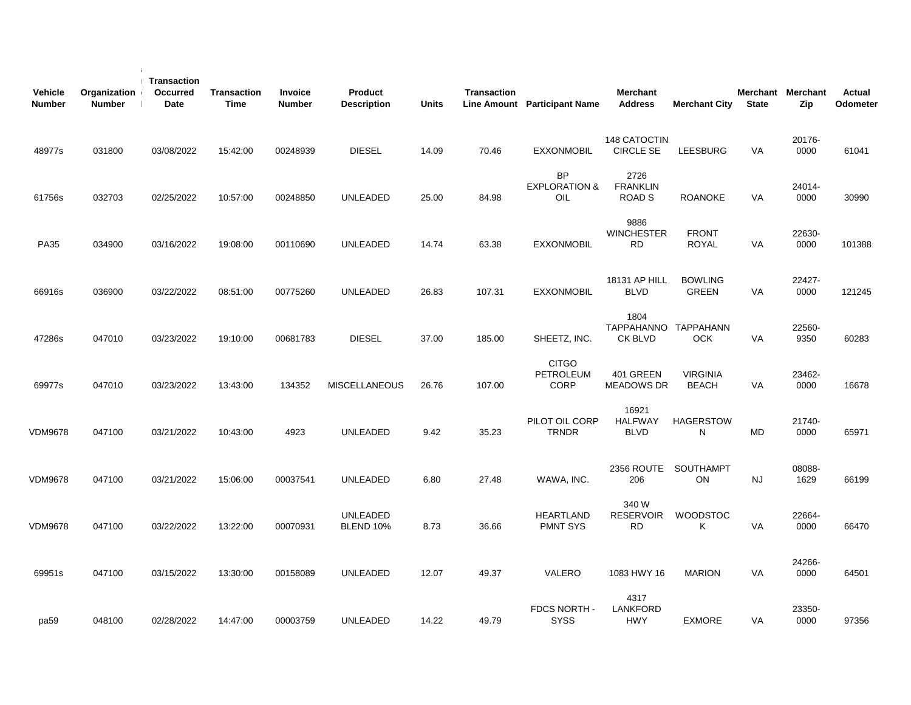| <b>Vehicle</b><br><b>Number</b> | Organization<br><b>Number</b> | Transaction<br>Occurred<br><b>Date</b> | <b>Transaction</b><br><b>Time</b> | <b>Invoice</b><br><b>Number</b> | Product<br><b>Description</b> | <b>Units</b> | <b>Transaction</b> | Line Amount Participant Name                 | <b>Merchant</b><br><b>Address</b>        | <b>Merchant City</b>            | <b>State</b> | Merchant Merchant<br>Zip | Actual<br>Odometer |
|---------------------------------|-------------------------------|----------------------------------------|-----------------------------------|---------------------------------|-------------------------------|--------------|--------------------|----------------------------------------------|------------------------------------------|---------------------------------|--------------|--------------------------|--------------------|
| 48977s                          | 031800                        | 03/08/2022                             | 15:42:00                          | 00248939                        | <b>DIESEL</b>                 | 14.09        | 70.46              | <b>EXXONMOBIL</b>                            | 148 CATOCTIN<br><b>CIRCLE SE</b>         | <b>LEESBURG</b>                 | <b>VA</b>    | 20176-<br>0000           | 61041              |
| 61756s                          | 032703                        | 02/25/2022                             | 10:57:00                          | 00248850                        | <b>UNLEADED</b>               | 25.00        | 84.98              | <b>BP</b><br><b>EXPLORATION &amp;</b><br>OIL | 2726<br><b>FRANKLIN</b><br><b>ROAD S</b> | <b>ROANOKE</b>                  | VA           | 24014-<br>0000           | 30990              |
| <b>PA35</b>                     | 034900                        | 03/16/2022                             | 19:08:00                          | 00110690                        | <b>UNLEADED</b>               | 14.74        | 63.38              | <b>EXXONMOBIL</b>                            | 9886<br><b>WINCHESTER</b><br><b>RD</b>   | <b>FRONT</b><br><b>ROYAL</b>    | VA           | 22630-<br>0000           | 101388             |
| 66916s                          | 036900                        | 03/22/2022                             | 08:51:00                          | 00775260                        | <b>UNLEADED</b>               | 26.83        | 107.31             | <b>EXXONMOBIL</b>                            | 18131 AP HILL<br><b>BLVD</b>             | <b>BOWLING</b><br><b>GREEN</b>  | VA           | 22427-<br>0000           | 121245             |
| 47286s                          | 047010                        | 03/23/2022                             | 19:10:00                          | 00681783                        | <b>DIESEL</b>                 | 37.00        | 185.00             | SHEETZ, INC.                                 | 1804<br>TAPPAHANNO TAPPAHANN<br>CK BLVD  | <b>OCK</b>                      | VA           | 22560-<br>9350           | 60283              |
| 69977s                          | 047010                        | 03/23/2022                             | 13:43:00                          | 134352                          | <b>MISCELLANEOUS</b>          | 26.76        | 107.00             | <b>CITGO</b><br>PETROLEUM<br><b>CORP</b>     | 401 GREEN<br><b>MEADOWS DR</b>           | <b>VIRGINIA</b><br><b>BEACH</b> | VA           | 23462-<br>0000           | 16678              |
| VDM9678                         | 047100                        | 03/21/2022                             | 10:43:00                          | 4923                            | <b>UNLEADED</b>               | 9.42         | 35.23              | PILOT OIL CORP<br><b>TRNDR</b>               | 16921<br><b>HALFWAY</b><br><b>BLVD</b>   | <b>HAGERSTOW</b><br>N           | <b>MD</b>    | 21740-<br>0000           | 65971              |
| <b>VDM9678</b>                  | 047100                        | 03/21/2022                             | 15:06:00                          | 00037541                        | <b>UNLEADED</b>               | 6.80         | 27.48              | WAWA, INC.                                   | 2356 ROUTE<br>206                        | SOUTHAMPT<br>ON                 | NJ           | 08088-<br>1629           | 66199              |
| <b>VDM9678</b>                  | 047100                        | 03/22/2022                             | 13:22:00                          | 00070931                        | <b>UNLEADED</b><br>BLEND 10%  | 8.73         | 36.66              | <b>HEARTLAND</b><br><b>PMNT SYS</b>          | 340 W<br><b>RESERVOIR</b><br>RD          | <b>WOODSTOC</b><br>Κ            | VA           | 22664-<br>0000           | 66470              |
| 69951s                          | 047100                        | 03/15/2022                             | 13:30:00                          | 00158089                        | <b>UNLEADED</b>               | 12.07        | 49.37              | VALERO                                       | 1083 HWY 16                              | <b>MARION</b>                   | VA           | 24266-<br>0000           | 64501              |
| pa59                            | 048100                        | 02/28/2022                             | 14:47:00                          | 00003759                        | <b>UNLEADED</b>               | 14.22        | 49.79              | FDCS NORTH -<br><b>SYSS</b>                  | 4317<br><b>LANKFORD</b><br><b>HWY</b>    | <b>EXMORE</b>                   | VA           | 23350-<br>0000           | 97356              |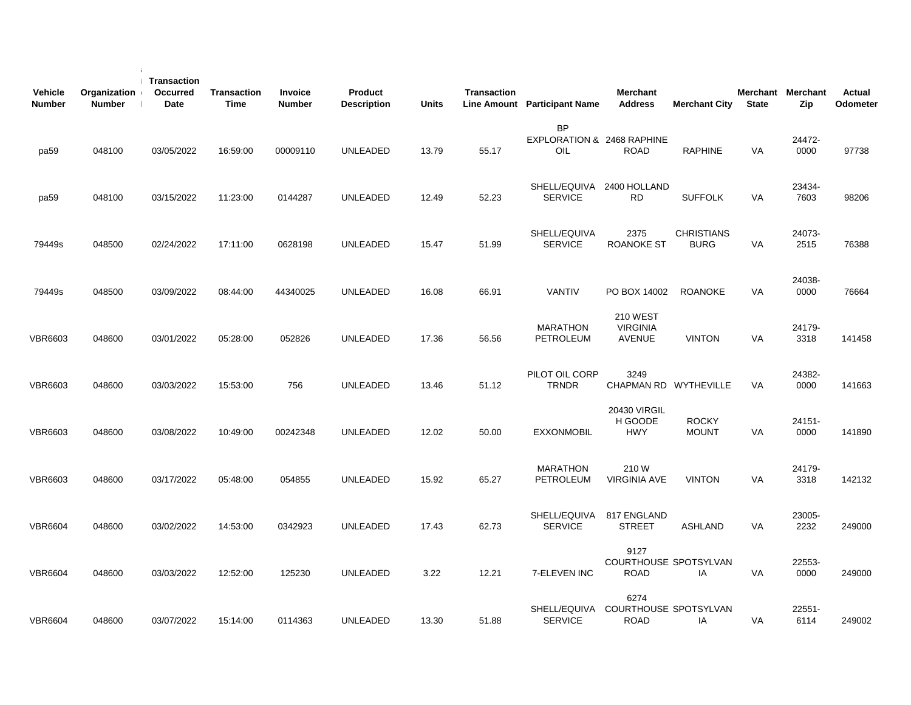| <b>Vehicle</b><br><b>Number</b> | Organization<br><b>Number</b> | <b>Transaction</b><br>Occurred<br><b>Date</b> | <b>Transaction</b><br><b>Time</b> | Invoice<br><b>Number</b> | Product<br><b>Description</b> | <b>Units</b> | Transaction | Line Amount Participant Name                   | <b>Merchant</b><br><b>Address</b>            | <b>Merchant City</b>             | <b>State</b> | Merchant Merchant<br>Zip | Actual<br>Odometer |
|---------------------------------|-------------------------------|-----------------------------------------------|-----------------------------------|--------------------------|-------------------------------|--------------|-------------|------------------------------------------------|----------------------------------------------|----------------------------------|--------------|--------------------------|--------------------|
| pa59                            | 048100                        | 03/05/2022                                    | 16:59:00                          | 00009110                 | <b>UNLEADED</b>               | 13.79        | 55.17       | <b>BP</b><br>EXPLORATION & 2468 RAPHINE<br>OIL | <b>ROAD</b>                                  | <b>RAPHINE</b>                   | VA           | 24472-<br>0000           | 97738              |
| pa59                            | 048100                        | 03/15/2022                                    | 11:23:00                          | 0144287                  | <b>UNLEADED</b>               | 12.49        | 52.23       | SHELL/EQUIVA 2400 HOLLAND<br><b>SERVICE</b>    | <b>RD</b>                                    | <b>SUFFOLK</b>                   | VA           | 23434-<br>7603           | 98206              |
| 79449s                          | 048500                        | 02/24/2022                                    | 17:11:00                          | 0628198                  | <b>UNLEADED</b>               | 15.47        | 51.99       | SHELL/EQUIVA<br><b>SERVICE</b>                 | 2375<br>ROANOKE ST                           | <b>CHRISTIANS</b><br><b>BURG</b> | VA           | 24073-<br>2515           | 76388              |
| 79449s                          | 048500                        | 03/09/2022                                    | 08:44:00                          | 44340025                 | <b>UNLEADED</b>               | 16.08        | 66.91       | <b>VANTIV</b>                                  | PO BOX 14002                                 | <b>ROANOKE</b>                   | VA           | 24038-<br>0000           | 76664              |
| <b>VBR6603</b>                  | 048600                        | 03/01/2022                                    | 05:28:00                          | 052826                   | UNLEADED                      | 17.36        | 56.56       | <b>MARATHON</b><br>PETROLEUM                   | 210 WEST<br><b>VIRGINIA</b><br><b>AVENUE</b> | <b>VINTON</b>                    | VA           | 24179-<br>3318           | 141458             |
| <b>VBR6603</b>                  | 048600                        | 03/03/2022                                    | 15:53:00                          | 756                      | <b>UNLEADED</b>               | 13.46        | 51.12       | PILOT OIL CORP<br><b>TRNDR</b>                 | 3249<br>CHAPMAN RD WYTHEVILLE                |                                  | <b>VA</b>    | 24382-<br>0000           | 141663             |
| <b>VBR6603</b>                  | 048600                        | 03/08/2022                                    | 10:49:00                          | 00242348                 | <b>UNLEADED</b>               | 12.02        | 50.00       | <b>EXXONMOBIL</b>                              | <b>20430 VIRGIL</b><br>H GOODE<br><b>HWY</b> | <b>ROCKY</b><br><b>MOUNT</b>     | VA           | 24151-<br>0000           | 141890             |
| <b>VBR6603</b>                  | 048600                        | 03/17/2022                                    | 05:48:00                          | 054855                   | <b>UNLEADED</b>               | 15.92        | 65.27       | <b>MARATHON</b><br>PETROLEUM                   | 210W<br><b>VIRGINIA AVE</b>                  | <b>VINTON</b>                    | VA           | 24179-<br>3318           | 142132             |
| <b>VBR6604</b>                  | 048600                        | 03/02/2022                                    | 14:53:00                          | 0342923                  | <b>UNLEADED</b>               | 17.43        | 62.73       | SHELL/EQUIVA<br><b>SERVICE</b>                 | 817 ENGLAND<br><b>STREET</b>                 | <b>ASHLAND</b>                   | VA           | 23005-<br>2232           | 249000             |
| <b>VBR6604</b>                  | 048600                        | 03/03/2022                                    | 12:52:00                          | 125230                   | <b>UNLEADED</b>               | 3.22         | 12.21       | 7-ELEVEN INC                                   | 9127<br>COURTHOUSE SPOTSYLVAN<br>ROAD        | IA                               | VA           | 22553-<br>0000           | 249000             |
| <b>VBR6604</b>                  | 048600                        | 03/07/2022                                    | 15:14:00                          | 0114363                  | UNLEADED                      | 13.30        | 51.88       | SHELL/EQUIVA<br><b>SERVICE</b>                 | 6274<br>COURTHOUSE SPOTSYLVAN<br><b>ROAD</b> | IA                               | VA           | 22551-<br>6114           | 249002             |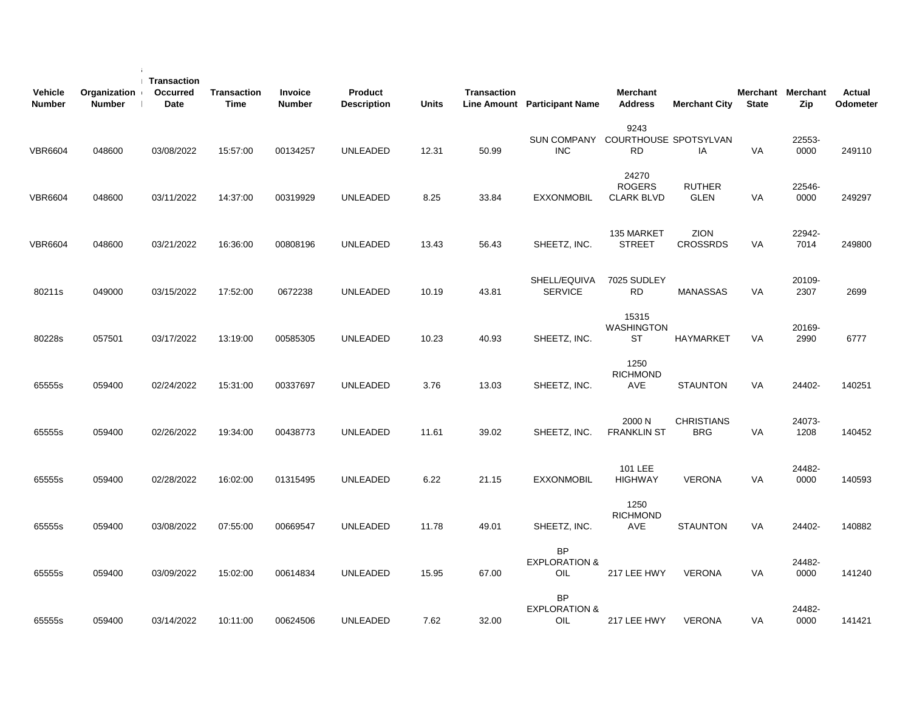| <b>Vehicle</b><br><b>Number</b> | Organization<br><b>Number</b> | <b>Transaction</b><br>Occurred<br>Date | Transaction<br><b>Time</b> | Invoice<br><b>Number</b> | Product<br><b>Description</b> | <b>Units</b> | <b>Transaction</b> | Line Amount Participant Name                    | <b>Merchant</b><br><b>Address</b>           | <b>Merchant City</b>            | <b>State</b> | Merchant Merchant<br>Zip | Actual<br>Odometer |
|---------------------------------|-------------------------------|----------------------------------------|----------------------------|--------------------------|-------------------------------|--------------|--------------------|-------------------------------------------------|---------------------------------------------|---------------------------------|--------------|--------------------------|--------------------|
| <b>VBR6604</b>                  | 048600                        | 03/08/2022                             | 15:57:00                   | 00134257                 | <b>UNLEADED</b>               | 12.31        | 50.99              | SUN COMPANY COURTHOUSE SPOTSYLVAN<br><b>INC</b> | 9243<br><b>RD</b>                           | IA                              | VA           | 22553-<br>0000           | 249110             |
| <b>VBR6604</b>                  | 048600                        | 03/11/2022                             | 14:37:00                   | 00319929                 | <b>UNLEADED</b>               | 8.25         | 33.84              | EXXONMOBIL                                      | 24270<br><b>ROGERS</b><br><b>CLARK BLVD</b> | <b>RUTHER</b><br><b>GLEN</b>    | VA           | 22546-<br>0000           | 249297             |
| <b>VBR6604</b>                  | 048600                        | 03/21/2022                             | 16:36:00                   | 00808196                 | <b>UNLEADED</b>               | 13.43        | 56.43              | SHEETZ, INC.                                    | 135 MARKET<br><b>STREET</b>                 | ZION<br><b>CROSSRDS</b>         | VA           | 22942-<br>7014           | 249800             |
| 80211s                          | 049000                        | 03/15/2022                             | 17:52:00                   | 0672238                  | <b>UNLEADED</b>               | 10.19        | 43.81              | SHELL/EQUIVA<br><b>SERVICE</b>                  | 7025 SUDLEY<br>RD.                          | <b>MANASSAS</b>                 | <b>VA</b>    | 20109-<br>2307           | 2699               |
| 80228s                          | 057501                        | 03/17/2022                             | 13:19:00                   | 00585305                 | <b>UNLEADED</b>               | 10.23        | 40.93              | SHEETZ, INC.                                    | 15315<br><b>WASHINGTON</b><br>ST            | <b>HAYMARKET</b>                | <b>VA</b>    | 20169-<br>2990           | 6777               |
| 65555s                          | 059400                        | 02/24/2022                             | 15:31:00                   | 00337697                 | <b>UNLEADED</b>               | 3.76         | 13.03              | SHEETZ, INC.                                    | 1250<br><b>RICHMOND</b><br>AVE              | <b>STAUNTON</b>                 | <b>VA</b>    | 24402-                   | 140251             |
| 65555s                          | 059400                        | 02/26/2022                             | 19:34:00                   | 00438773                 | <b>UNLEADED</b>               | 11.61        | 39.02              | SHEETZ, INC.                                    | 2000 N<br><b>FRANKLIN ST</b>                | <b>CHRISTIANS</b><br><b>BRG</b> | VA           | 24073-<br>1208           | 140452             |
| 65555s                          | 059400                        | 02/28/2022                             | 16:02:00                   | 01315495                 | <b>UNLEADED</b>               | 6.22         | 21.15              | <b>EXXONMOBIL</b>                               | 101 LEE<br><b>HIGHWAY</b>                   | <b>VERONA</b>                   | <b>VA</b>    | 24482-<br>0000           | 140593             |
| 65555s                          | 059400                        | 03/08/2022                             | 07:55:00                   | 00669547                 | <b>UNLEADED</b>               | 11.78        | 49.01              | SHEETZ, INC.                                    | 1250<br><b>RICHMOND</b><br><b>AVE</b>       | <b>STAUNTON</b>                 | VA           | 24402-                   | 140882             |
| 65555s                          | 059400                        | 03/09/2022                             | 15:02:00                   | 00614834                 | <b>UNLEADED</b>               | 15.95        | 67.00              | <b>BP</b><br><b>EXPLORATION &amp;</b><br>OIL    | 217 LEE HWY                                 | <b>VERONA</b>                   | VA           | 24482-<br>0000           | 141240             |
| 65555s                          | 059400                        | 03/14/2022                             | 10:11:00                   | 00624506                 | <b>UNLEADED</b>               | 7.62         | 32.00              | <b>BP</b><br><b>EXPLORATION &amp;</b><br>OIL    | 217 LEE HWY                                 | <b>VERONA</b>                   | VA           | 24482-<br>0000           | 141421             |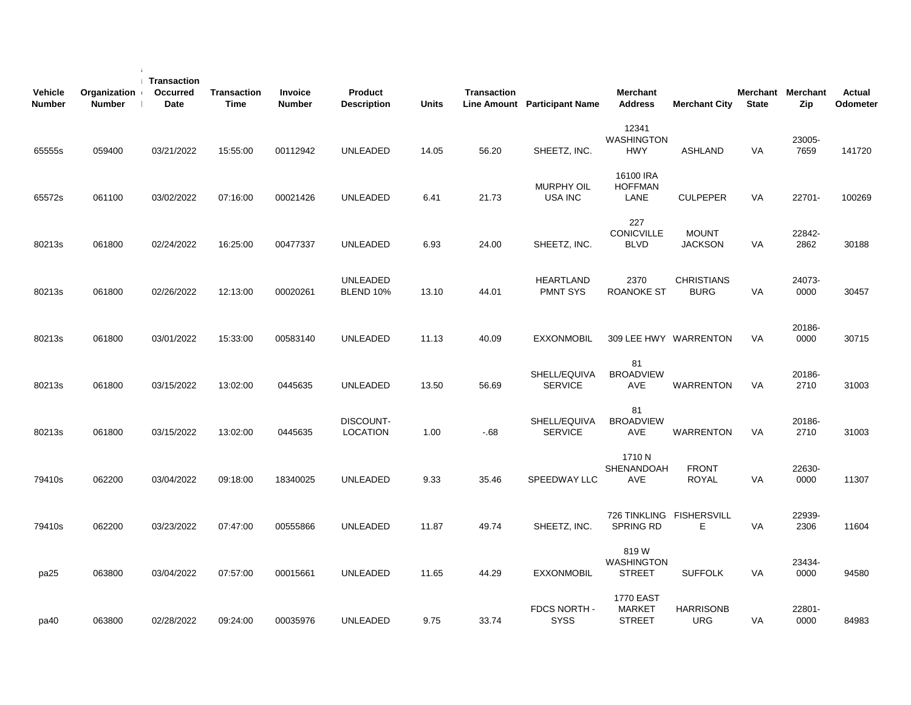| <b>Vehicle</b><br><b>Number</b> | Organization<br><b>Number</b> | <b>Transaction</b><br>Occurred<br>Date | <b>Transaction</b><br><b>Time</b> | Invoice<br><b>Number</b> | Product<br><b>Description</b> | <b>Units</b> | <b>Transaction</b> | <b>Line Amount</b> Participant Name | <b>Merchant</b><br><b>Address</b>                  | <b>Merchant City</b>             | <b>State</b> | Merchant Merchant<br>Zip | Actual<br>Odometer |
|---------------------------------|-------------------------------|----------------------------------------|-----------------------------------|--------------------------|-------------------------------|--------------|--------------------|-------------------------------------|----------------------------------------------------|----------------------------------|--------------|--------------------------|--------------------|
| 65555s                          | 059400                        | 03/21/2022                             | 15:55:00                          | 00112942                 | <b>UNLEADED</b>               | 14.05        | 56.20              | SHEETZ, INC.                        | 12341<br><b>WASHINGTON</b><br><b>HWY</b>           | ASHLAND                          | <b>VA</b>    | 23005-<br>7659           | 141720             |
| 65572s                          | 061100                        | 03/02/2022                             | 07:16:00                          | 00021426                 | <b>UNLEADED</b>               | 6.41         | 21.73              | <b>MURPHY OIL</b><br>USA INC        | 16100 IRA<br><b>HOFFMAN</b><br>LANE                | <b>CULPEPER</b>                  | VA           | 22701-                   | 100269             |
| 80213s                          | 061800                        | 02/24/2022                             | 16:25:00                          | 00477337                 | UNLEADED                      | 6.93         | 24.00              | SHEETZ, INC.                        | 227<br><b>CONICVILLE</b><br><b>BLVD</b>            | <b>MOUNT</b><br><b>JACKSON</b>   | VA           | 22842-<br>2862           | 30188              |
| 80213s                          | 061800                        | 02/26/2022                             | 12:13:00                          | 00020261                 | <b>UNLEADED</b><br>BLEND 10%  | 13.10        | 44.01              | <b>HEARTLAND</b><br><b>PMNT SYS</b> | 2370<br><b>ROANOKE ST</b>                          | <b>CHRISTIANS</b><br><b>BURG</b> | VA           | 24073-<br>0000           | 30457              |
| 80213s                          | 061800                        | 03/01/2022                             | 15:33:00                          | 00583140                 | UNLEADED                      | 11.13        | 40.09              | <b>EXXONMOBIL</b>                   |                                                    | 309 LEE HWY WARRENTON            | VA           | 20186-<br>0000           | 30715              |
| 80213s                          | 061800                        | 03/15/2022                             | 13:02:00                          | 0445635                  | UNLEADED                      | 13.50        | 56.69              | SHELL/EQUIVA<br><b>SERVICE</b>      | 81<br><b>BROADVIEW</b><br><b>AVE</b>               | WARRENTON                        | <b>VA</b>    | 20186-<br>2710           | 31003              |
| 80213s                          | 061800                        | 03/15/2022                             | 13:02:00                          | 0445635                  | DISCOUNT-<br><b>LOCATION</b>  | 1.00         | $-68$              | SHELL/EQUIVA<br><b>SERVICE</b>      | 81<br><b>BROADVIEW</b><br>AVE                      | <b>WARRENTON</b>                 | VA           | 20186-<br>2710           | 31003              |
| 79410s                          | 062200                        | 03/04/2022                             | 09:18:00                          | 18340025                 | UNLEADED                      | 9.33         | 35.46              | SPEEDWAY LLC                        | 1710 N<br>SHENANDOAH<br>AVE                        | <b>FRONT</b><br><b>ROYAL</b>     | VA           | 22630-<br>0000           | 11307              |
| 79410s                          | 062200                        | 03/23/2022                             | 07:47:00                          | 00555866                 | <b>UNLEADED</b>               | 11.87        | 49.74              | SHEETZ, INC.                        | 726 TINKLING FISHERSVILL<br><b>SPRING RD</b>       | Е                                | VA           | 22939-<br>2306           | 11604              |
| pa25                            | 063800                        | 03/04/2022                             | 07:57:00                          | 00015661                 | <b>UNLEADED</b>               | 11.65        | 44.29              | <b>EXXONMOBIL</b>                   | 819W<br><b>WASHINGTON</b><br><b>STREET</b>         | <b>SUFFOLK</b>                   | VA           | 23434-<br>0000           | 94580              |
| pa40                            | 063800                        | 02/28/2022                             | 09:24:00                          | 00035976                 | UNLEADED                      | 9.75         | 33.74              | FDCS NORTH -<br><b>SYSS</b>         | <b>1770 EAST</b><br><b>MARKET</b><br><b>STREET</b> | <b>HARRISONB</b><br><b>URG</b>   | VA           | 22801-<br>0000           | 84983              |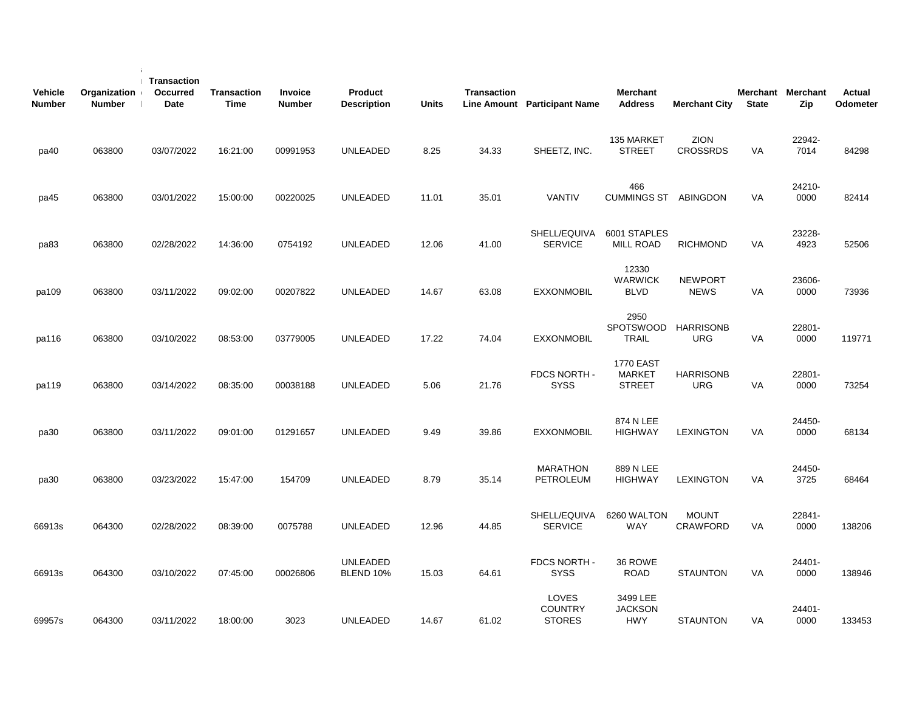| <b>Vehicle</b><br><b>Number</b> | Organization<br><b>Number</b> | Transaction<br>Occurred<br>Date | <b>Transaction</b><br>Time | Invoice<br><b>Number</b> | Product<br><b>Description</b> | <b>Units</b> | <b>Transaction</b> | Line Amount Participant Name             | Merchant<br><b>Address</b>                         | <b>Merchant City</b>            | <b>State</b> | Merchant Merchant<br>Zip | <b>Actual</b><br>Odometer |
|---------------------------------|-------------------------------|---------------------------------|----------------------------|--------------------------|-------------------------------|--------------|--------------------|------------------------------------------|----------------------------------------------------|---------------------------------|--------------|--------------------------|---------------------------|
| pa40                            | 063800                        | 03/07/2022                      | 16:21:00                   | 00991953                 | <b>UNLEADED</b>               | 8.25         | 34.33              | SHEETZ, INC.                             | 135 MARKET<br><b>STREET</b>                        | <b>ZION</b><br><b>CROSSRDS</b>  | <b>VA</b>    | 22942-<br>7014           | 84298                     |
| pa45                            | 063800                        | 03/01/2022                      | 15:00:00                   | 00220025                 | <b>UNLEADED</b>               | 11.01        | 35.01              | <b>VANTIV</b>                            | 466<br><b>CUMMINGS ST ABINGDON</b>                 |                                 | VA           | 24210-<br>0000           | 82414                     |
| pa83                            | 063800                        | 02/28/2022                      | 14:36:00                   | 0754192                  | <b>UNLEADED</b>               | 12.06        | 41.00              | SHELL/EQUIVA<br><b>SERVICE</b>           | 6001 STAPLES<br><b>MILL ROAD</b>                   | <b>RICHMOND</b>                 | VA           | 23228-<br>4923           | 52506                     |
| pa109                           | 063800                        | 03/11/2022                      | 09:02:00                   | 00207822                 | <b>UNLEADED</b>               | 14.67        | 63.08              | <b>EXXONMOBIL</b>                        | 12330<br><b>WARWICK</b><br><b>BLVD</b>             | <b>NEWPORT</b><br><b>NEWS</b>   | VA           | 23606-<br>0000           | 73936                     |
| pa116                           | 063800                        | 03/10/2022                      | 08:53:00                   | 03779005                 | <b>UNLEADED</b>               | 17.22        | 74.04              | <b>EXXONMOBIL</b>                        | 2950<br>SPOTSWOOD<br><b>TRAIL</b>                  | <b>HARRISONB</b><br><b>URG</b>  | VA           | 22801-<br>0000           | 119771                    |
| pa119                           | 063800                        | 03/14/2022                      | 08:35:00                   | 00038188                 | <b>UNLEADED</b>               | 5.06         | 21.76              | FDCS NORTH -<br><b>SYSS</b>              | <b>1770 EAST</b><br><b>MARKET</b><br><b>STREET</b> | <b>HARRISONB</b><br><b>URG</b>  | <b>VA</b>    | 22801-<br>0000           | 73254                     |
| pa30                            | 063800                        | 03/11/2022                      | 09:01:00                   | 01291657                 | <b>UNLEADED</b>               | 9.49         | 39.86              | <b>EXXONMOBIL</b>                        | 874 N LEE<br><b>HIGHWAY</b>                        | <b>LEXINGTON</b>                | <b>VA</b>    | 24450-<br>0000           | 68134                     |
| pa30                            | 063800                        | 03/23/2022                      | 15:47:00                   | 154709                   | <b>UNLEADED</b>               | 8.79         | 35.14              | <b>MARATHON</b><br><b>PETROLEUM</b>      | 889 N LEE<br><b>HIGHWAY</b>                        | <b>LEXINGTON</b>                | VA           | 24450-<br>3725           | 68464                     |
| 66913s                          | 064300                        | 02/28/2022                      | 08:39:00                   | 0075788                  | <b>UNLEADED</b>               | 12.96        | 44.85              | SHELL/EQUIVA<br><b>SERVICE</b>           | 6260 WALTON<br><b>WAY</b>                          | <b>MOUNT</b><br><b>CRAWFORD</b> | VA           | 22841-<br>0000           | 138206                    |
| 66913s                          | 064300                        | 03/10/2022                      | 07:45:00                   | 00026806                 | <b>UNLEADED</b><br>BLEND 10%  | 15.03        | 64.61              | FDCS NORTH -<br><b>SYSS</b>              | 36 ROWE<br><b>ROAD</b>                             | <b>STAUNTON</b>                 | VA           | 24401-<br>0000           | 138946                    |
| 69957s                          | 064300                        | 03/11/2022                      | 18:00:00                   | 3023                     | <b>UNLEADED</b>               | 14.67        | 61.02              | LOVES<br><b>COUNTRY</b><br><b>STORES</b> | 3499 LEE<br><b>JACKSON</b><br><b>HWY</b>           | <b>STAUNTON</b>                 | VA           | 24401-<br>0000           | 133453                    |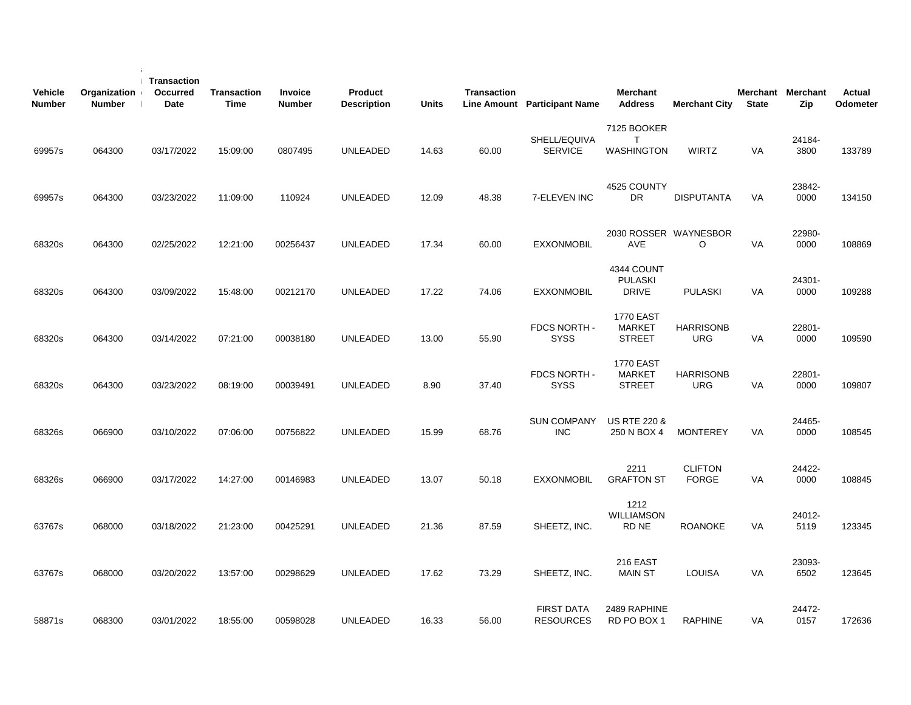| <b>Vehicle</b><br><b>Number</b> | Organization<br><b>Number</b> | Transaction<br><b>Occurred</b><br>Date | <b>Transaction</b><br><b>Time</b> | <b>Invoice</b><br><b>Number</b> | <b>Product</b><br><b>Description</b> | <b>Units</b> | Transaction | Line Amount Participant Name          | <b>Merchant</b><br><b>Address</b>                  | <b>Merchant City</b>           | <b>State</b> | Merchant Merchant<br>Zip | <b>Actual</b><br>Odometer |
|---------------------------------|-------------------------------|----------------------------------------|-----------------------------------|---------------------------------|--------------------------------------|--------------|-------------|---------------------------------------|----------------------------------------------------|--------------------------------|--------------|--------------------------|---------------------------|
| 69957s                          | 064300                        | 03/17/2022                             | 15:09:00                          | 0807495                         | <b>UNLEADED</b>                      | 14.63        | 60.00       | SHELL/EQUIVA<br><b>SERVICE</b>        | 7125 BOOKER<br>T<br><b>WASHINGTON</b>              | <b>WIRTZ</b>                   | <b>VA</b>    | 24184-<br>3800           | 133789                    |
| 69957s                          | 064300                        | 03/23/2022                             | 11:09:00                          | 110924                          | <b>UNLEADED</b>                      | 12.09        | 48.38       | 7-ELEVEN INC                          | 4525 COUNTY<br>DR                                  | <b>DISPUTANTA</b>              | VA           | 23842-<br>0000           | 134150                    |
| 68320s                          | 064300                        | 02/25/2022                             | 12:21:00                          | 00256437                        | <b>UNLEADED</b>                      | 17.34        | 60.00       | <b>EXXONMOBIL</b>                     | 2030 ROSSER WAYNESBOR<br>AVE                       | O                              | VA           | 22980-<br>0000           | 108869                    |
| 68320s                          | 064300                        | 03/09/2022                             | 15:48:00                          | 00212170                        | <b>UNLEADED</b>                      | 17.22        | 74.06       | <b>EXXONMOBIL</b>                     | 4344 COUNT<br><b>PULASKI</b><br><b>DRIVE</b>       | <b>PULASKI</b>                 | VA           | 24301-<br>0000           | 109288                    |
| 68320s                          | 064300                        | 03/14/2022                             | 07:21:00                          | 00038180                        | <b>UNLEADED</b>                      | 13.00        | 55.90       | FDCS NORTH -<br><b>SYSS</b>           | <b>1770 EAST</b><br>MARKET<br><b>STREET</b>        | <b>HARRISONB</b><br><b>URG</b> | VA           | 22801-<br>0000           | 109590                    |
| 68320s                          | 064300                        | 03/23/2022                             | 08:19:00                          | 00039491                        | <b>UNLEADED</b>                      | 8.90         | 37.40       | FDCS NORTH -<br><b>SYSS</b>           | <b>1770 EAST</b><br><b>MARKET</b><br><b>STREET</b> | <b>HARRISONB</b><br><b>URG</b> | <b>VA</b>    | 22801-<br>0000           | 109807                    |
| 68326s                          | 066900                        | 03/10/2022                             | 07:06:00                          | 00756822                        | <b>UNLEADED</b>                      | 15.99        | 68.76       | <b>SUN COMPANY</b><br><b>INC</b>      | <b>US RTE 220 &amp;</b><br>250 N BOX 4             | <b>MONTEREY</b>                | <b>VA</b>    | 24465-<br>0000           | 108545                    |
| 68326s                          | 066900                        | 03/17/2022                             | 14:27:00                          | 00146983                        | <b>UNLEADED</b>                      | 13.07        | 50.18       | <b>EXXONMOBIL</b>                     | 2211<br><b>GRAFTON ST</b>                          | <b>CLIFTON</b><br><b>FORGE</b> | VA           | 24422-<br>0000           | 108845                    |
| 63767s                          | 068000                        | 03/18/2022                             | 21:23:00                          | 00425291                        | <b>UNLEADED</b>                      | 21.36        | 87.59       | SHEETZ, INC.                          | 1212<br><b>WILLIAMSON</b><br>RD NE                 | <b>ROANOKE</b>                 | VA           | 24012-<br>5119           | 123345                    |
| 63767s                          | 068000                        | 03/20/2022                             | 13:57:00                          | 00298629                        | <b>UNLEADED</b>                      | 17.62        | 73.29       | SHEETZ, INC.                          | 216 EAST<br><b>MAIN ST</b>                         | <b>LOUISA</b>                  | VA           | 23093-<br>6502           | 123645                    |
| 58871s                          | 068300                        | 03/01/2022                             | 18:55:00                          | 00598028                        | <b>UNLEADED</b>                      | 16.33        | 56.00       | <b>FIRST DATA</b><br><b>RESOURCES</b> | 2489 RAPHINE<br>RD PO BOX 1                        | <b>RAPHINE</b>                 | VA           | 24472-<br>0157           | 172636                    |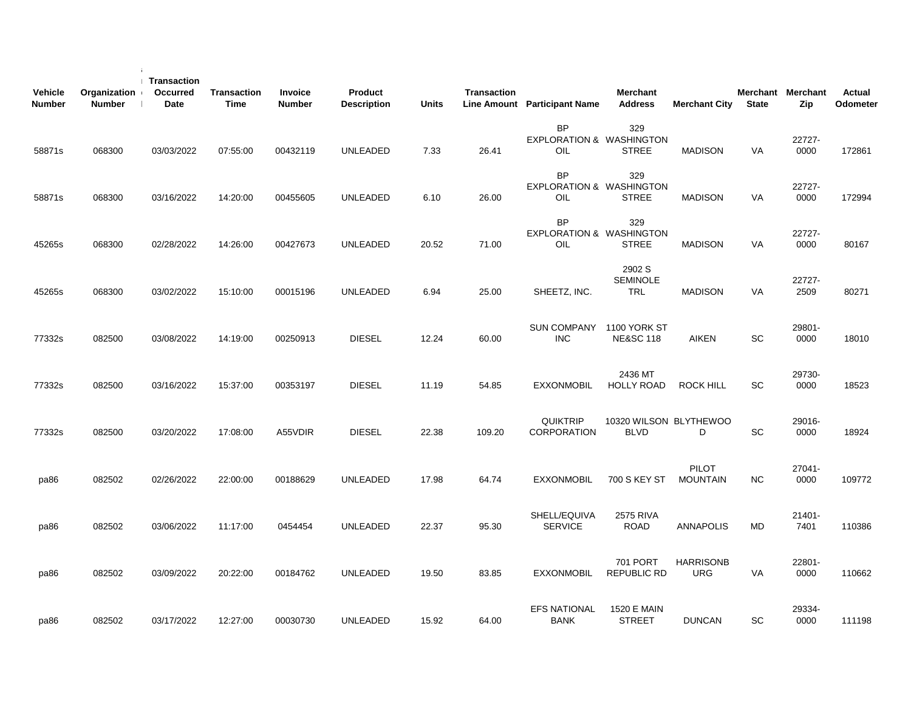| <b>Vehicle</b><br>Number | Organization<br><b>Number</b> | <b>Transaction</b><br><b>Occurred</b><br><b>Date</b> | <b>Transaction</b><br><b>Time</b> | <b>Invoice</b><br><b>Number</b> | Product<br><b>Description</b> | <b>Units</b> | <b>Transaction</b> | Line Amount Participant Name                            | <b>Merchant</b><br><b>Address</b>           | <b>Merchant City</b>            | <b>State</b> | Merchant Merchant<br>Zip | <b>Actual</b><br>Odometer |  |
|--------------------------|-------------------------------|------------------------------------------------------|-----------------------------------|---------------------------------|-------------------------------|--------------|--------------------|---------------------------------------------------------|---------------------------------------------|---------------------------------|--------------|--------------------------|---------------------------|--|
| 58871s                   | 068300                        | 03/03/2022                                           | 07:55:00                          | 00432119                        | <b>UNLEADED</b>               | 7.33         | 26.41              | <b>BP</b><br><b>EXPLORATION &amp; WASHINGTON</b><br>OIL | 329<br><b>STREE</b>                         | <b>MADISON</b>                  | VA           | 22727-<br>0000           | 172861                    |  |
| 58871s                   | 068300                        | 03/16/2022                                           | 14:20:00                          | 00455605                        | <b>UNLEADED</b>               | 6.10         | 26.00              | <b>BP</b><br><b>EXPLORATION &amp; WASHINGTON</b><br>OIL | 329<br><b>STREE</b>                         | <b>MADISON</b>                  | VA           | 22727-<br>0000           | 172994                    |  |
| 45265s                   | 068300                        | 02/28/2022                                           | 14:26:00                          | 00427673                        | <b>UNLEADED</b>               | 20.52        | 71.00              | <b>BP</b><br><b>EXPLORATION &amp; WASHINGTON</b><br>OIL | 329<br><b>STREE</b>                         | <b>MADISON</b>                  | VA           | 22727-<br>0000           | 80167                     |  |
| 45265s                   | 068300                        | 03/02/2022                                           | 15:10:00                          | 00015196                        | <b>UNLEADED</b>               | 6.94         | 25.00              | SHEETZ, INC.                                            | 2902 S<br><b>SEMINOLE</b><br><b>TRL</b>     | <b>MADISON</b>                  | VA           | 22727-<br>2509           | 80271                     |  |
| 77332s                   | 082500                        | 03/08/2022                                           | 14:19:00                          | 00250913                        | <b>DIESEL</b>                 | 12.24        | 60.00              | <b>SUN COMPANY</b><br><b>INC</b>                        | <b>1100 YORK ST</b><br><b>NE&amp;SC 118</b> | <b>AIKEN</b>                    | SC           | 29801-<br>0000           | 18010                     |  |
| 77332s                   | 082500                        | 03/16/2022                                           | 15:37:00                          | 00353197                        | <b>DIESEL</b>                 | 11.19        | 54.85              | <b>EXXONMOBIL</b>                                       | 2436 MT<br><b>HOLLY ROAD</b>                | <b>ROCK HILL</b>                | <b>SC</b>    | 29730-<br>0000           | 18523                     |  |
| 77332s                   | 082500                        | 03/20/2022                                           | 17:08:00                          | A55VDIR                         | <b>DIESEL</b>                 | 22.38        | 109.20             | <b>QUIKTRIP</b><br><b>CORPORATION</b>                   | 10320 WILSON BLYTHEWOO<br><b>BLVD</b>       | D                               | SC           | 29016-<br>0000           | 18924                     |  |
| pa86                     | 082502                        | 02/26/2022                                           | 22:00:00                          | 00188629                        | <b>UNLEADED</b>               | 17.98        | 64.74              | <b>EXXONMOBIL</b>                                       | 700 S KEY ST                                | <b>PILOT</b><br><b>MOUNTAIN</b> | NC.          | 27041-<br>0000           | 109772                    |  |
| pa86                     | 082502                        | 03/06/2022                                           | 11:17:00                          | 0454454                         | <b>UNLEADED</b>               | 22.37        | 95.30              | SHELL/EQUIVA<br><b>SERVICE</b>                          | 2575 RIVA<br><b>ROAD</b>                    | <b>ANNAPOLIS</b>                | MD           | 21401-<br>7401           | 110386                    |  |
| pa86                     | 082502                        | 03/09/2022                                           | 20:22:00                          | 00184762                        | <b>UNLEADED</b>               | 19.50        | 83.85              | <b>EXXONMOBIL</b>                                       | 701 PORT<br>REPUBLIC RD                     | <b>HARRISONB</b><br><b>URG</b>  | VA           | 22801-<br>0000           | 110662                    |  |
| pa86                     | 082502                        | 03/17/2022                                           | 12:27:00                          | 00030730                        | <b>UNLEADED</b>               | 15.92        | 64.00              | <b>EFS NATIONAL</b><br><b>BANK</b>                      | 1520 E MAIN<br><b>STREET</b>                | <b>DUNCAN</b>                   | SC           | 29334-<br>0000           | 111198                    |  |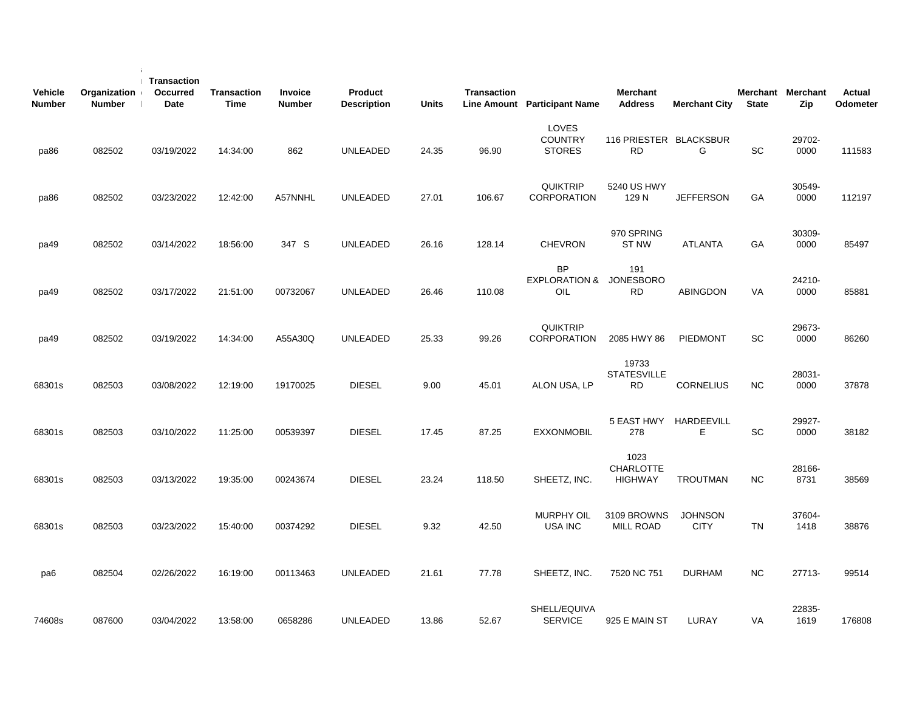| <b>Vehicle</b><br><b>Number</b> | Organization<br><b>Number</b> | <b>Transaction</b><br><b>Occurred</b><br>Date | <b>Transaction</b><br>Time | <b>Invoice</b><br><b>Number</b> | Product<br><b>Description</b> | <b>Units</b> | <b>Transaction</b> | Line Amount Participant Name                    | <b>Merchant</b><br><b>Address</b>          | <b>Merchant City</b>          | <b>State</b> | Merchant Merchant<br>Zip | Actual<br>Odometer |
|---------------------------------|-------------------------------|-----------------------------------------------|----------------------------|---------------------------------|-------------------------------|--------------|--------------------|-------------------------------------------------|--------------------------------------------|-------------------------------|--------------|--------------------------|--------------------|
| pa86                            | 082502                        | 03/19/2022                                    | 14:34:00                   | 862                             | <b>UNLEADED</b>               | 24.35        | 96.90              | <b>LOVES</b><br><b>COUNTRY</b><br><b>STORES</b> | 116 PRIESTER BLACKSBUR<br><b>RD</b>        | G                             | SC           | 29702-<br>0000           | 111583             |
| pa86                            | 082502                        | 03/23/2022                                    | 12:42:00                   | A57NNHL                         | UNLEADED                      | 27.01        | 106.67             | <b>QUIKTRIP</b><br><b>CORPORATION</b>           | 5240 US HWY<br>129 N                       | <b>JEFFERSON</b>              | GA           | 30549-<br>0000           | 112197             |
| pa49                            | 082502                        | 03/14/2022                                    | 18:56:00                   | 347 S                           | <b>UNLEADED</b>               | 26.16        | 128.14             | <b>CHEVRON</b>                                  | 970 SPRING<br><b>ST NW</b>                 | <b>ATLANTA</b>                | <b>GA</b>    | 30309-<br>0000           | 85497              |
| pa49                            | 082502                        | 03/17/2022                                    | 21:51:00                   | 00732067                        | <b>UNLEADED</b>               | 26.46        | 110.08             | <b>BP</b><br><b>EXPLORATION &amp;</b><br>OIL    | 191<br><b>JONESBORO</b><br><b>RD</b>       | <b>ABINGDON</b>               | VA           | 24210-<br>0000           | 85881              |
| pa49                            | 082502                        | 03/19/2022                                    | 14:34:00                   | A55A30Q                         | <b>UNLEADED</b>               | 25.33        | 99.26              | <b>QUIKTRIP</b><br><b>CORPORATION</b>           | 2085 HWY 86                                | PIEDMONT                      | <b>SC</b>    | 29673-<br>0000           | 86260              |
| 68301s                          | 082503                        | 03/08/2022                                    | 12:19:00                   | 19170025                        | <b>DIESEL</b>                 | 9.00         | 45.01              | ALON USA, LP                                    | 19733<br><b>STATESVILLE</b><br><b>RD</b>   | <b>CORNELIUS</b>              | <b>NC</b>    | 28031-<br>0000           | 37878              |
| 68301s                          | 082503                        | 03/10/2022                                    | 11:25:00                   | 00539397                        | <b>DIESEL</b>                 | 17.45        | 87.25              | <b>EXXONMOBIL</b>                               | 5 EAST HWY<br>278                          | <b>HARDEEVILL</b><br>Е        | SC           | 29927-<br>0000           | 38182              |
| 68301s                          | 082503                        | 03/13/2022                                    | 19:35:00                   | 00243674                        | <b>DIESEL</b>                 | 23.24        | 118.50             | SHEETZ, INC.                                    | 1023<br><b>CHARLOTTE</b><br><b>HIGHWAY</b> | <b>TROUTMAN</b>               | <b>NC</b>    | 28166-<br>8731           | 38569              |
| 68301s                          | 082503                        | 03/23/2022                                    | 15:40:00                   | 00374292                        | <b>DIESEL</b>                 | 9.32         | 42.50              | <b>MURPHY OIL</b><br><b>USA INC</b>             | 3109 BROWNS<br><b>MILL ROAD</b>            | <b>JOHNSON</b><br><b>CITY</b> | TN           | 37604-<br>1418           | 38876              |
| pa6                             | 082504                        | 02/26/2022                                    | 16:19:00                   | 00113463                        | <b>UNLEADED</b>               | 21.61        | 77.78              | SHEETZ, INC.                                    | 7520 NC 751                                | <b>DURHAM</b>                 | <b>NC</b>    | 27713-                   | 99514              |
| 74608s                          | 087600                        | 03/04/2022                                    | 13:58:00                   | 0658286                         | <b>UNLEADED</b>               | 13.86        | 52.67              | SHELL/EQUIVA<br><b>SERVICE</b>                  | 925 E MAIN ST                              | LURAY                         | VA           | 22835-<br>1619           | 176808             |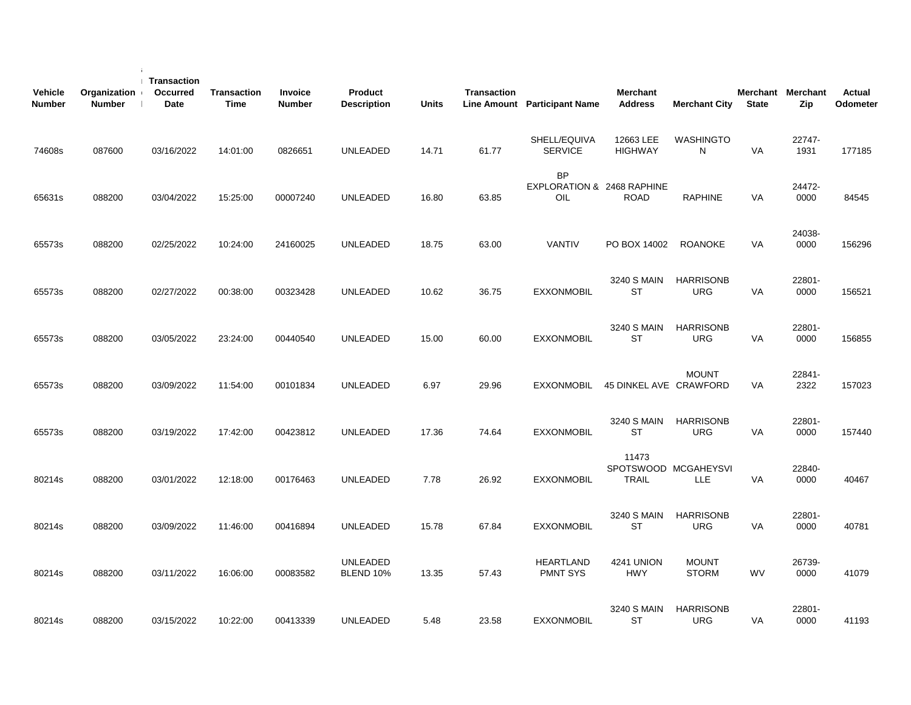| <b>Vehicle</b><br><b>Number</b> | Organization<br><b>Number</b> | Transaction<br>Occurred<br>Date | <b>Transaction</b><br><b>Time</b> | <b>Invoice</b><br><b>Number</b> | <b>Product</b><br><b>Description</b> | <b>Units</b> | <b>Transaction</b> | Line Amount Participant Name                   | <b>Merchant</b><br><b>Address</b>             | <b>Merchant City</b>           | <b>State</b> | Merchant Merchant<br>Zip | <b>Actual</b><br>Odometer |
|---------------------------------|-------------------------------|---------------------------------|-----------------------------------|---------------------------------|--------------------------------------|--------------|--------------------|------------------------------------------------|-----------------------------------------------|--------------------------------|--------------|--------------------------|---------------------------|
| 74608s                          | 087600                        | 03/16/2022                      | 14:01:00                          | 0826651                         | <b>UNLEADED</b>                      | 14.71        | 61.77              | SHELL/EQUIVA<br><b>SERVICE</b>                 | 12663 LEE<br><b>HIGHWAY</b>                   | <b>WASHINGTO</b><br>N          | VA           | 22747-<br>1931           | 177185                    |
| 65631s                          | 088200                        | 03/04/2022                      | 15:25:00                          | 00007240                        | <b>UNLEADED</b>                      | 16.80        | 63.85              | <b>BP</b><br>EXPLORATION & 2468 RAPHINE<br>OIL | ROAD                                          | <b>RAPHINE</b>                 | VA           | 24472-<br>0000           | 84545                     |
| 65573s                          | 088200                        | 02/25/2022                      | 10:24:00                          | 24160025                        | UNLEADED                             | 18.75        | 63.00              | <b>VANTIV</b>                                  | PO BOX 14002                                  | <b>ROANOKE</b>                 | <b>VA</b>    | 24038-<br>0000           | 156296                    |
| 65573s                          | 088200                        | 02/27/2022                      | 00:38:00                          | 00323428                        | <b>UNLEADED</b>                      | 10.62        | 36.75              | <b>EXXONMOBIL</b>                              | 3240 S MAIN<br><b>ST</b>                      | <b>HARRISONB</b><br><b>URG</b> | <b>VA</b>    | 22801-<br>0000           | 156521                    |
| 65573s                          | 088200                        | 03/05/2022                      | 23:24:00                          | 00440540                        | <b>UNLEADED</b>                      | 15.00        | 60.00              | <b>EXXONMOBIL</b>                              | 3240 S MAIN<br><b>ST</b>                      | <b>HARRISONB</b><br><b>URG</b> | VA           | 22801-<br>0000           | 156855                    |
| 65573s                          | 088200                        | 03/09/2022                      | 11:54:00                          | 00101834                        | <b>UNLEADED</b>                      | 6.97         | 29.96              | <b>EXXONMOBIL</b>                              | 45 DINKEL AVE CRAWFORD                        | <b>MOUNT</b>                   | <b>VA</b>    | 22841-<br>2322           | 157023                    |
| 65573s                          | 088200                        | 03/19/2022                      | 17:42:00                          | 00423812                        | <b>UNLEADED</b>                      | 17.36        | 74.64              | <b>EXXONMOBIL</b>                              | 3240 S MAIN<br>ST                             | <b>HARRISONB</b><br><b>URG</b> | <b>VA</b>    | 22801-<br>0000           | 157440                    |
| 80214s                          | 088200                        | 03/01/2022                      | 12:18:00                          | 00176463                        | <b>UNLEADED</b>                      | 7.78         | 26.92              | <b>EXXONMOBIL</b>                              | 11473<br>SPOTSWOOD MCGAHEYSVI<br><b>TRAIL</b> | <b>LLE</b>                     | VA           | 22840-<br>0000           | 40467                     |
| 80214s                          | 088200                        | 03/09/2022                      | 11:46:00                          | 00416894                        | <b>UNLEADED</b>                      | 15.78        | 67.84              | <b>EXXONMOBIL</b>                              | 3240 S MAIN<br><b>ST</b>                      | <b>HARRISONB</b><br><b>URG</b> | VA           | 22801-<br>0000           | 40781                     |
| 80214s                          | 088200                        | 03/11/2022                      | 16:06:00                          | 00083582                        | <b>UNLEADED</b><br><b>BLEND 10%</b>  | 13.35        | 57.43              | <b>HEARTLAND</b><br><b>PMNT SYS</b>            | 4241 UNION<br><b>HWY</b>                      | <b>MOUNT</b><br><b>STORM</b>   | <b>WV</b>    | 26739-<br>0000           | 41079                     |
| 80214s                          | 088200                        | 03/15/2022                      | 10:22:00                          | 00413339                        | <b>UNLEADED</b>                      | 5.48         | 23.58              | <b>EXXONMOBIL</b>                              | 3240 S MAIN<br><b>ST</b>                      | <b>HARRISONB</b><br><b>URG</b> | VA           | 22801-<br>0000           | 41193                     |